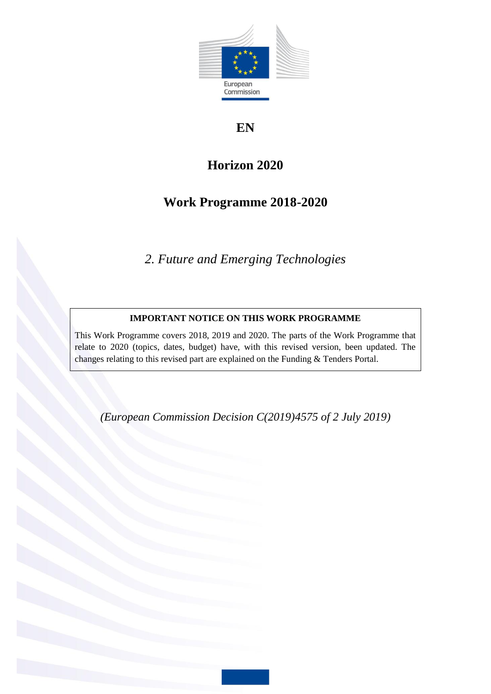

# **EN**

# **Horizon 2020**

# **Work Programme 2018-2020**

*2. Future and Emerging Technologies*

# **IMPORTANT NOTICE ON THIS WORK PROGRAMME**

This Work Programme covers 2018, 2019 and 2020. The parts of the Work Programme that relate to 2020 (topics, dates, budget) have, with this revised version, been updated. The changes relating to this revised part are explained on the Funding & Tenders Portal.

*(European Commission Decision C(2019)4575 of 2 July 2019)*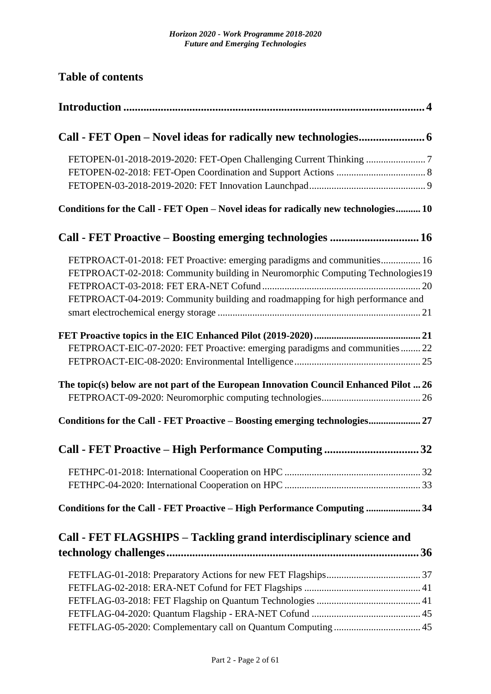**Table of contents**

| Conditions for the Call - FET Open - Novel ideas for radically new technologies 10    |
|---------------------------------------------------------------------------------------|
| Call - FET Proactive - Boosting emerging technologies  16                             |
| FETPROACT-01-2018: FET Proactive: emerging paradigms and communities 16               |
| FETPROACT-02-2018: Community building in Neuromorphic Computing Technologies19        |
|                                                                                       |
| FETPROACT-04-2019: Community building and roadmapping for high performance and        |
|                                                                                       |
| FETPROACT-EIC-07-2020: FET Proactive: emerging paradigms and communities  22          |
|                                                                                       |
| The topic(s) below are not part of the European Innovation Council Enhanced Pilot  26 |
|                                                                                       |
| Conditions for the Call - FET Proactive - Boosting emerging technologies 27           |
| Call - FET Proactive - High Performance Computing<br>32                               |
|                                                                                       |
|                                                                                       |
| Conditions for the Call - FET Proactive - High Performance Computing  34              |
| Call - FET FLAGSHIPS – Tackling grand interdisciplinary science and                   |
|                                                                                       |
|                                                                                       |
|                                                                                       |
|                                                                                       |
|                                                                                       |
|                                                                                       |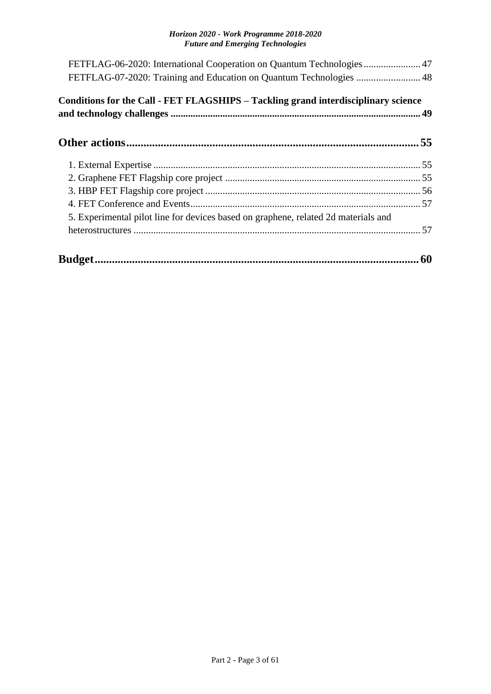| FETFLAG-06-2020: International Cooperation on Quantum Technologies 47<br>FETFLAG-07-2020: Training and Education on Quantum Technologies  48 |  |
|----------------------------------------------------------------------------------------------------------------------------------------------|--|
| Conditions for the Call - FET FLAGSHIPS – Tackling grand interdisciplinary science                                                           |  |
|                                                                                                                                              |  |
|                                                                                                                                              |  |
|                                                                                                                                              |  |
|                                                                                                                                              |  |
|                                                                                                                                              |  |
| 5. Experimental pilot line for devices based on graphene, related 2d materials and                                                           |  |
|                                                                                                                                              |  |
|                                                                                                                                              |  |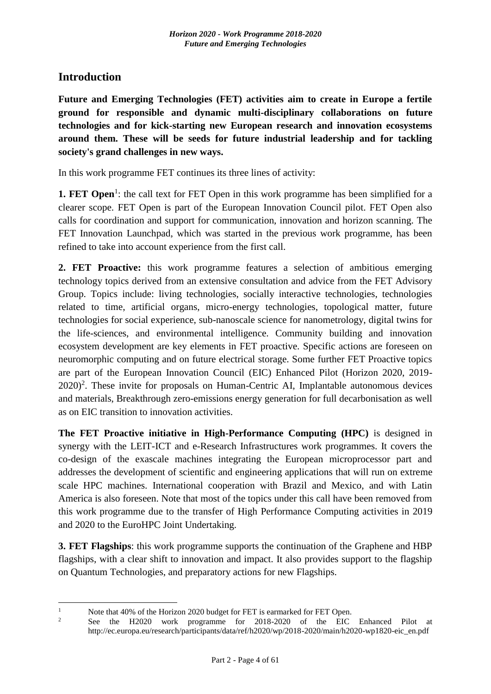# <span id="page-3-0"></span>**Introduction**

1

**Future and Emerging Technologies (FET) activities aim to create in Europe a fertile ground for responsible and dynamic multi-disciplinary collaborations on future technologies and for kick-starting new European research and innovation ecosystems around them. These will be seeds for future industrial leadership and for tackling society's grand challenges in new ways.**

In this work programme FET continues its three lines of activity:

**1. FET Open**<sup>1</sup>: the call text for FET Open in this work programme has been simplified for a clearer scope. FET Open is part of the European Innovation Council pilot. FET Open also calls for coordination and support for communication, innovation and horizon scanning. The FET Innovation Launchpad, which was started in the previous work programme, has been refined to take into account experience from the first call.

**2. FET Proactive:** this work programme features a selection of ambitious emerging technology topics derived from an extensive consultation and advice from the FET Advisory Group. Topics include: living technologies, socially interactive technologies, technologies related to time, artificial organs, micro-energy technologies, topological matter, future technologies for social experience, sub-nanoscale science for nanometrology, digital twins for the life-sciences, and environmental intelligence. Community building and innovation ecosystem development are key elements in FET proactive. Specific actions are foreseen on neuromorphic computing and on future electrical storage. Some further FET Proactive topics are part of the European Innovation Council (EIC) Enhanced Pilot (Horizon 2020, 2019-  $2020$ <sup>2</sup>. These invite for proposals on Human-Centric AI, Implantable autonomous devices and materials, Breakthrough zero-emissions energy generation for full decarbonisation as well as on EIC transition to innovation activities.

**The FET Proactive initiative in High-Performance Computing (HPC)** is designed in synergy with the LEIT-ICT and e-Research Infrastructures work programmes. It covers the co-design of the exascale machines integrating the European microprocessor part and addresses the development of scientific and engineering applications that will run on extreme scale HPC machines. International cooperation with Brazil and Mexico, and with Latin America is also foreseen. Note that most of the topics under this call have been removed from this work programme due to the transfer of High Performance Computing activities in 2019 and 2020 to the EuroHPC Joint Undertaking.

**3. FET Flagships**: this work programme supports the continuation of the Graphene and HBP flagships, with a clear shift to innovation and impact. It also provides support to the flagship on Quantum Technologies, and preparatory actions for new Flagships.

<sup>&</sup>lt;sup>1</sup> Note that 40% of the Horizon 2020 budget for FET is earmarked for FET Open.<br><sup>2</sup> See the H2020 work programme for 2018 2020 of the FIC

<sup>2</sup> See the H2020 work programme for 2018-2020 of the EIC Enhanced Pilot at http://ec.europa.eu/research/participants/data/ref/h2020/wp/2018-2020/main/h2020-wp1820-eic\_en.pdf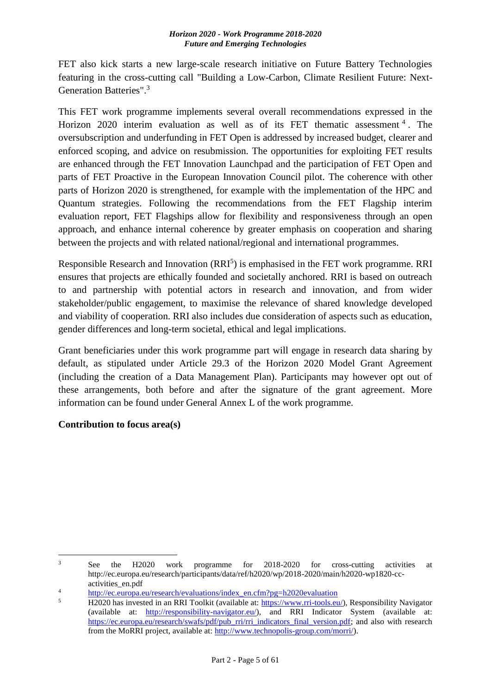FET also kick starts a new large-scale research initiative on Future Battery Technologies featuring in the cross-cutting call "Building a Low-Carbon, Climate Resilient Future: Next-Generation Batteries".<sup>3</sup>

This FET work programme implements several overall recommendations expressed in the Horizon 2020 interim evaluation as well as of its FET thematic assessment  $4$ . The oversubscription and underfunding in FET Open is addressed by increased budget, clearer and enforced scoping, and advice on resubmission. The opportunities for exploiting FET results are enhanced through the FET Innovation Launchpad and the participation of FET Open and parts of FET Proactive in the European Innovation Council pilot. The coherence with other parts of Horizon 2020 is strengthened, for example with the implementation of the HPC and Quantum strategies. Following the recommendations from the FET Flagship interim evaluation report, FET Flagships allow for flexibility and responsiveness through an open approach, and enhance internal coherence by greater emphasis on cooperation and sharing between the projects and with related national/regional and international programmes.

Responsible Research and Innovation (RRI<sup>5</sup>) is emphasised in the FET work programme. RRI ensures that projects are ethically founded and societally anchored. RRI is based on outreach to and partnership with potential actors in research and innovation, and from wider stakeholder/public engagement, to maximise the relevance of shared knowledge developed and viability of cooperation. RRI also includes due consideration of aspects such as education, gender differences and long-term societal, ethical and legal implications.

Grant beneficiaries under this work programme part will engage in research data sharing by default, as stipulated under Article 29.3 of the Horizon 2020 Model Grant Agreement (including the creation of a Data Management Plan). Participants may however opt out of these arrangements, both before and after the signature of the grant agreement. More information can be found under General Annex L of the work programme.

### **Contribution to focus area(s)**

 $\overline{3}$ See the H2020 work programme for 2018-2020 for cross-cutting activities at http://ec.europa.eu/research/participants/data/ref/h2020/wp/2018-2020/main/h2020-wp1820-ccactivities\_en.pdf

<sup>&</sup>lt;sup>4</sup><br>[http://ec.europa.eu/research/evaluations/index\\_en.cfm?pg=h2020evaluation](http://ec.europa.eu/research/evaluations/index_en.cfm?pg=h2020evaluation)<br>5 H2020 besigneed in an PPI Toollit (smileble at https://www.wit.tools.com

<sup>5</sup> H2020 has invested in an RRI Toolkit (available at: [https://www.rri-tools.eu/\)](https://www.rri-tools.eu/), Responsibility Navigator (available at: [http://responsibility-navigator.eu/\)](http://responsibility-navigator.eu/), and RRI Indicator System (available at: [https://ec.europa.eu/research/swafs/pdf/pub\\_rri/rri\\_indicators\\_final\\_version.pdf;](https://ec.europa.eu/research/swafs/pdf/pub_rri/rri_indicators_final_version.pdf) and also with research from the MoRRI project, available at: [http://www.technopolis-group.com/morri/\)](http://www.technopolis-group.com/morri/).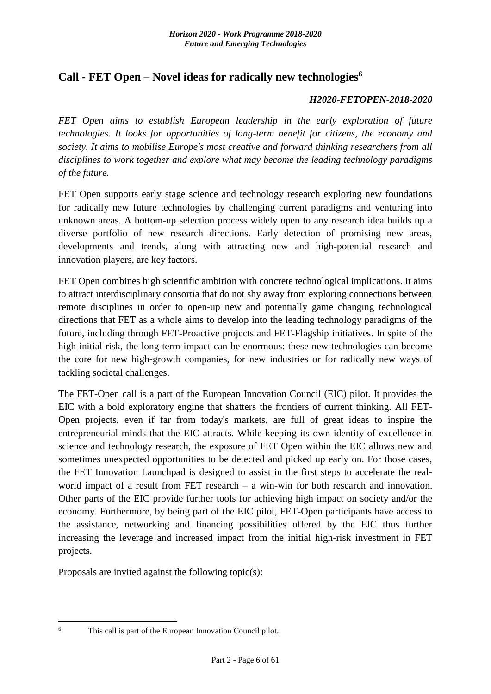# <span id="page-5-0"></span>**Call - FET Open – Novel ideas for radically new technologies<sup>6</sup>**

#### *H2020-FETOPEN-2018-2020*

*FET Open aims to establish European leadership in the early exploration of future technologies. It looks for opportunities of long-term benefit for citizens, the economy and society. It aims to mobilise Europe's most creative and forward thinking researchers from all disciplines to work together and explore what may become the leading technology paradigms of the future.*

FET Open supports early stage science and technology research exploring new foundations for radically new future technologies by challenging current paradigms and venturing into unknown areas. A bottom-up selection process widely open to any research idea builds up a diverse portfolio of new research directions. Early detection of promising new areas, developments and trends, along with attracting new and high-potential research and innovation players, are key factors.

FET Open combines high scientific ambition with concrete technological implications. It aims to attract interdisciplinary consortia that do not shy away from exploring connections between remote disciplines in order to open-up new and potentially game changing technological directions that FET as a whole aims to develop into the leading technology paradigms of the future, including through FET-Proactive projects and FET-Flagship initiatives. In spite of the high initial risk, the long-term impact can be enormous: these new technologies can become the core for new high-growth companies, for new industries or for radically new ways of tackling societal challenges.

The FET-Open call is a part of the European Innovation Council (EIC) pilot. It provides the EIC with a bold exploratory engine that shatters the frontiers of current thinking. All FET-Open projects, even if far from today's markets, are full of great ideas to inspire the entrepreneurial minds that the EIC attracts. While keeping its own identity of excellence in science and technology research, the exposure of FET Open within the EIC allows new and sometimes unexpected opportunities to be detected and picked up early on. For those cases, the FET Innovation Launchpad is designed to assist in the first steps to accelerate the realworld impact of a result from FET research – a win-win for both research and innovation. Other parts of the EIC provide further tools for achieving high impact on society and/or the economy. Furthermore, by being part of the EIC pilot, FET-Open participants have access to the assistance, networking and financing possibilities offered by the EIC thus further increasing the leverage and increased impact from the initial high-risk investment in FET projects.

Proposals are invited against the following topic(s):

1

<sup>6</sup> This call is part of the European Innovation Council pilot.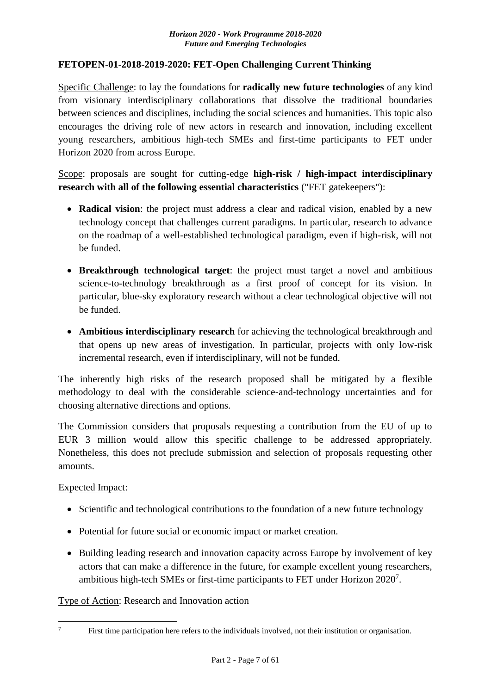#### <span id="page-6-0"></span>**FETOPEN-01-2018-2019-2020: FET-Open Challenging Current Thinking**

Specific Challenge: to lay the foundations for **radically new future technologies** of any kind from visionary interdisciplinary collaborations that dissolve the traditional boundaries between sciences and disciplines, including the social sciences and humanities. This topic also encourages the driving role of new actors in research and innovation, including excellent young researchers, ambitious high-tech SMEs and first-time participants to FET under Horizon 2020 from across Europe.

Scope: proposals are sought for cutting-edge **high-risk / high-impact interdisciplinary research with all of the following essential characteristics** ("FET gatekeepers"):

- **Radical vision**: the project must address a clear and radical vision, enabled by a new technology concept that challenges current paradigms. In particular, research to advance on the roadmap of a well-established technological paradigm, even if high-risk, will not be funded.
- **Breakthrough technological target**: the project must target a novel and ambitious science-to-technology breakthrough as a first proof of concept for its vision. In particular, blue-sky exploratory research without a clear technological objective will not be funded.
- **Ambitious interdisciplinary research** for achieving the technological breakthrough and that opens up new areas of investigation. In particular, projects with only low-risk incremental research, even if interdisciplinary, will not be funded.

The inherently high risks of the research proposed shall be mitigated by a flexible methodology to deal with the considerable science-and-technology uncertainties and for choosing alternative directions and options.

The Commission considers that proposals requesting a contribution from the EU of up to EUR 3 million would allow this specific challenge to be addressed appropriately. Nonetheless, this does not preclude submission and selection of proposals requesting other amounts.

### Expected Impact:

1

- Scientific and technological contributions to the foundation of a new future technology
- Potential for future social or economic impact or market creation.
- Building leading research and innovation capacity across Europe by involvement of key actors that can make a difference in the future, for example excellent young researchers, ambitious high-tech SMEs or first-time participants to FET under Horizon 2020<sup>7</sup>.

Type of Action: Research and Innovation action

<sup>&</sup>lt;sup>7</sup> First time participation here refers to the individuals involved, not their institution or organisation.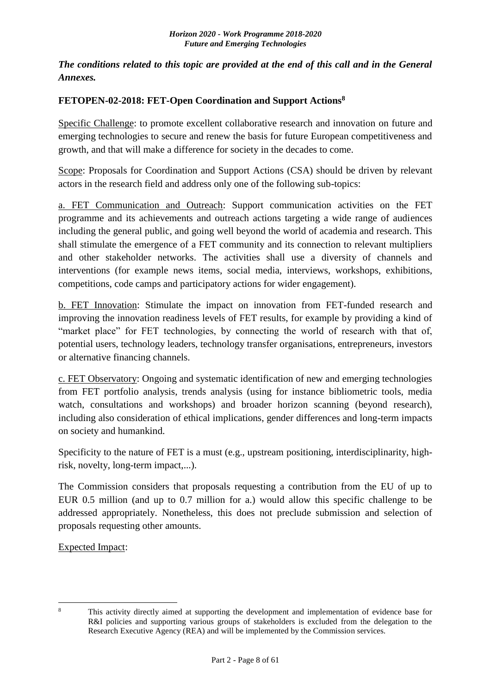*The conditions related to this topic are provided at the end of this call and in the General Annexes.*

### <span id="page-7-0"></span>**FETOPEN-02-2018: FET-Open Coordination and Support Actions<sup>8</sup>**

Specific Challenge: to promote excellent collaborative research and innovation on future and emerging technologies to secure and renew the basis for future European competitiveness and growth, and that will make a difference for society in the decades to come.

Scope: Proposals for Coordination and Support Actions (CSA) should be driven by relevant actors in the research field and address only one of the following sub-topics:

a. FET Communication and Outreach: Support communication activities on the FET programme and its achievements and outreach actions targeting a wide range of audiences including the general public, and going well beyond the world of academia and research. This shall stimulate the emergence of a FET community and its connection to relevant multipliers and other stakeholder networks. The activities shall use a diversity of channels and interventions (for example news items, social media, interviews, workshops, exhibitions, competitions, code camps and participatory actions for wider engagement).

b. FET Innovation: Stimulate the impact on innovation from FET-funded research and improving the innovation readiness levels of FET results, for example by providing a kind of "market place" for FET technologies, by connecting the world of research with that of, potential users, technology leaders, technology transfer organisations, entrepreneurs, investors or alternative financing channels.

c. FET Observatory: Ongoing and systematic identification of new and emerging technologies from FET portfolio analysis, trends analysis (using for instance bibliometric tools, media watch, consultations and workshops) and broader horizon scanning (beyond research), including also consideration of ethical implications, gender differences and long-term impacts on society and humankind.

Specificity to the nature of FET is a must (e.g., upstream positioning, interdisciplinarity, highrisk, novelty, long-term impact,...).

The Commission considers that proposals requesting a contribution from the EU of up to EUR 0.5 million (and up to 0.7 million for a.) would allow this specific challenge to be addressed appropriately. Nonetheless, this does not preclude submission and selection of proposals requesting other amounts.

Expected Impact:

<sup>1</sup> 

<sup>&</sup>lt;sup>8</sup> This activity directly aimed at supporting the development and implementation of evidence base for R&I policies and supporting various groups of stakeholders is excluded from the delegation to the Research Executive Agency (REA) and will be implemented by the Commission services.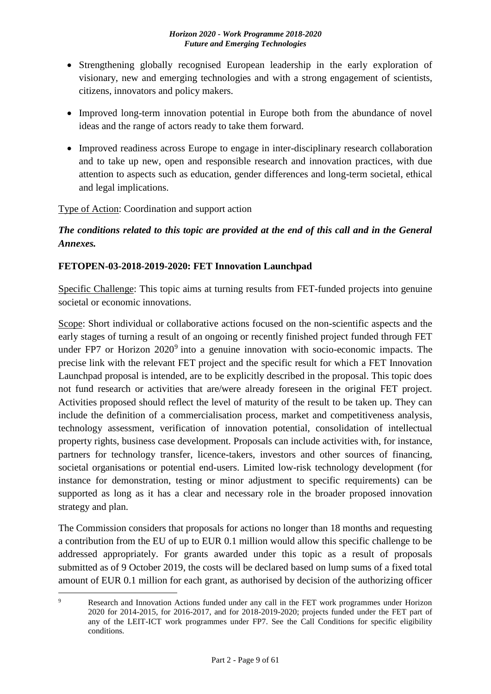- Strengthening globally recognised European leadership in the early exploration of visionary, new and emerging technologies and with a strong engagement of scientists, citizens, innovators and policy makers.
- Improved long-term innovation potential in Europe both from the abundance of novel ideas and the range of actors ready to take them forward.
- Improved readiness across Europe to engage in inter-disciplinary research collaboration and to take up new, open and responsible research and innovation practices, with due attention to aspects such as education, gender differences and long-term societal, ethical and legal implications.

### Type of Action: Coordination and support action

# *The conditions related to this topic are provided at the end of this call and in the General Annexes.*

### <span id="page-8-0"></span>**FETOPEN-03-2018-2019-2020: FET Innovation Launchpad**

Specific Challenge: This topic aims at turning results from FET-funded projects into genuine societal or economic innovations.

Scope: Short individual or collaborative actions focused on the non-scientific aspects and the early stages of turning a result of an ongoing or recently finished project funded through FET under FP7 or Horizon  $2020^9$  into a genuine innovation with socio-economic impacts. The precise link with the relevant FET project and the specific result for which a FET Innovation Launchpad proposal is intended, are to be explicitly described in the proposal. This topic does not fund research or activities that are/were already foreseen in the original FET project. Activities proposed should reflect the level of maturity of the result to be taken up. They can include the definition of a commercialisation process, market and competitiveness analysis, technology assessment, verification of innovation potential, consolidation of intellectual property rights, business case development. Proposals can include activities with, for instance, partners for technology transfer, licence-takers, investors and other sources of financing, societal organisations or potential end-users. Limited low-risk technology development (for instance for demonstration, testing or minor adjustment to specific requirements) can be supported as long as it has a clear and necessary role in the broader proposed innovation strategy and plan.

The Commission considers that proposals for actions no longer than 18 months and requesting a contribution from the EU of up to EUR 0.1 million would allow this specific challenge to be addressed appropriately. For grants awarded under this topic as a result of proposals submitted as of 9 October 2019, the costs will be declared based on lump sums of a fixed total amount of EUR 0.1 million for each grant, as authorised by decision of the authorizing officer

<sup>&</sup>lt;u>.</u> Research and Innovation Actions funded under any call in the FET work programmes under Horizon 2020 for 2014-2015, for 2016-2017, and for 2018-2019-2020; projects funded under the FET part of any of the LEIT-ICT work programmes under FP7. See the Call Conditions for specific eligibility conditions.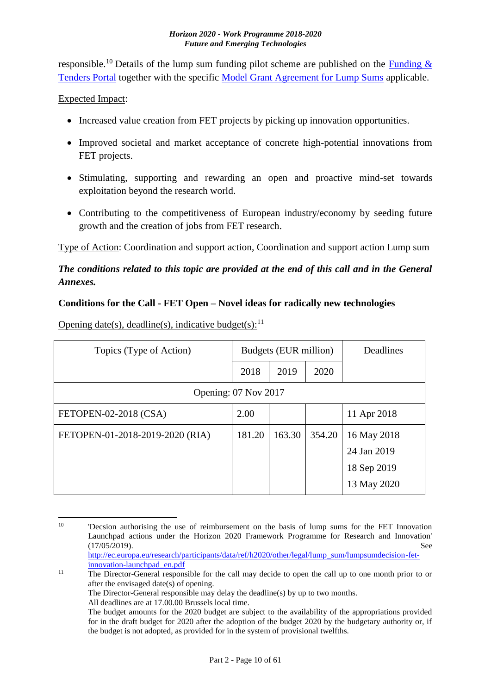responsible.<sup>10</sup> Details of the lump sum funding pilot scheme are published on the **Funding &** [Tenders Portal](http://ec.europa.eu/research/participants/docs/h2020-funding-guide/grants/applying-for-funding/find-a-call/what-you-need-to-know_en.htm) together with the specific [Model Grant Agreement for Lump Sums](http://ec.europa.eu/research/participants/data/ref/h2020/mga/lumpsum/h2020-mga-lumpsum-pilot-multi_en.pdf) applicable.

### Expected Impact:

- Increased value creation from FET projects by picking up innovation opportunities.
- Improved societal and market acceptance of concrete high-potential innovations from FET projects.
- Stimulating, supporting and rewarding an open and proactive mind-set towards exploitation beyond the research world.
- Contributing to the competitiveness of European industry/economy by seeding future growth and the creation of jobs from FET research.

Type of Action: Coordination and support action, Coordination and support action Lump sum

# *The conditions related to this topic are provided at the end of this call and in the General Annexes.*

### <span id="page-9-0"></span>**Conditions for the Call - FET Open – Novel ideas for radically new technologies**

Opening date(s), deadline(s), indicative budget(s): $^{11}$ 

| Topics (Type of Action)         | Budgets (EUR million) |        | Deadlines |             |
|---------------------------------|-----------------------|--------|-----------|-------------|
|                                 | 2018                  | 2019   | 2020      |             |
| Opening: 07 Nov 2017            |                       |        |           |             |
| FETOPEN-02-2018 (CSA)           | 2.00                  |        |           | 11 Apr 2018 |
| FETOPEN-01-2018-2019-2020 (RIA) | 181.20                | 163.30 | 354.20    | 16 May 2018 |
|                                 |                       |        |           | 24 Jan 2019 |
|                                 |                       |        |           | 18 Sep 2019 |
|                                 |                       |        |           | 13 May 2020 |

<sup>1</sup> <sup>10</sup> 'Decsion authorising the use of reimbursement on the basis of lump sums for the FET Innovation Launchpad actions under the Horizon 2020 Framework Programme for Research and Innovation' (17/05/2019). See [http://ec.europa.eu/research/participants/data/ref/h2020/other/legal/lump\\_sum/lumpsumdecision-fet-](http://ec.europa.eu/research/participants/data/ref/h2020/other/legal/lump_sum/lumpsumdecision-fet-innovation-launchpad_en.pdf)

[innovation-launchpad\\_en.pdf](http://ec.europa.eu/research/participants/data/ref/h2020/other/legal/lump_sum/lumpsumdecision-fet-innovation-launchpad_en.pdf) <sup>11</sup> The Director-General responsible for the call may decide to open the call up to one month prior to or after the envisaged date(s) of opening. The Director-General responsible may delay the deadline(s) by up to two months. All deadlines are at 17.00.00 Brussels local time. The budget amounts for the 2020 budget are subject to the availability of the appropriations provided

for in the draft budget for 2020 after the adoption of the budget 2020 by the budgetary authority or, if the budget is not adopted, as provided for in the system of provisional twelfths.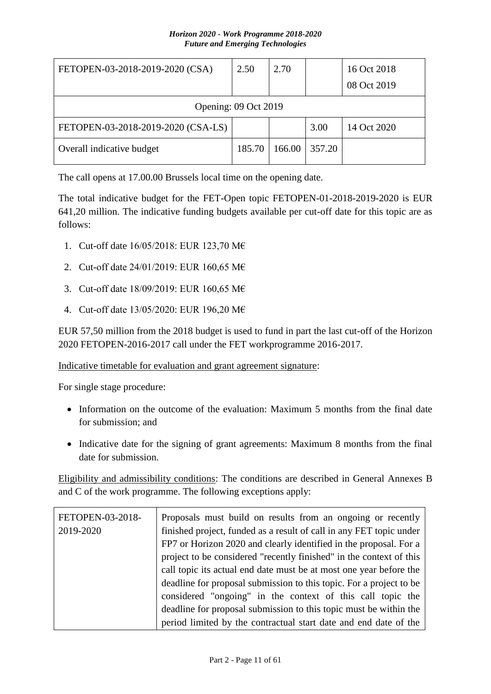| FETOPEN-03-2018-2019-2020 (CSA)    | 2.50   | 2.70   |        | 16 Oct 2018<br>08 Oct 2019 |
|------------------------------------|--------|--------|--------|----------------------------|
| Opening: 09 Oct 2019               |        |        |        |                            |
| FETOPEN-03-2018-2019-2020 (CSA-LS) |        |        | 3.00   | 14 Oct 2020                |
| Overall indicative budget          | 185.70 | 166.00 | 357.20 |                            |

The call opens at 17.00.00 Brussels local time on the opening date.

The total indicative budget for the FET-Open topic FETOPEN-01-2018-2019-2020 is EUR 641,20 million. The indicative funding budgets available per cut-off date for this topic are as follows:

- 1. Cut-off date 16/05/2018: EUR 123,70 M€
- 2. Cut-off date 24/01/2019: EUR 160,65 M€
- 3. Cut-off date 18/09/2019: EUR 160,65 M€
- 4. Cut-off date 13/05/2020: EUR 196,20 M€

EUR 57,50 million from the 2018 budget is used to fund in part the last cut-off of the Horizon 2020 FETOPEN-2016-2017 call under the FET workprogramme 2016-2017.

Indicative timetable for evaluation and grant agreement signature:

For single stage procedure:

- Information on the outcome of the evaluation: Maximum 5 months from the final date for submission; and
- Indicative date for the signing of grant agreements: Maximum 8 months from the final date for submission.

Eligibility and admissibility conditions: The conditions are described in General Annexes B and C of the work programme. The following exceptions apply:

| FETOPEN-03-2018- | Proposals must build on results from an ongoing or recently         |
|------------------|---------------------------------------------------------------------|
| 2019-2020        | finished project, funded as a result of call in any FET topic under |
|                  | FP7 or Horizon 2020 and clearly identified in the proposal. For a   |
|                  | project to be considered "recently finished" in the context of this |
|                  | call topic its actual end date must be at most one year before the  |
|                  | deadline for proposal submission to this topic. For a project to be |
|                  | considered "ongoing" in the context of this call topic the          |
|                  | deadline for proposal submission to this topic must be within the   |
|                  | period limited by the contractual start date and end date of the    |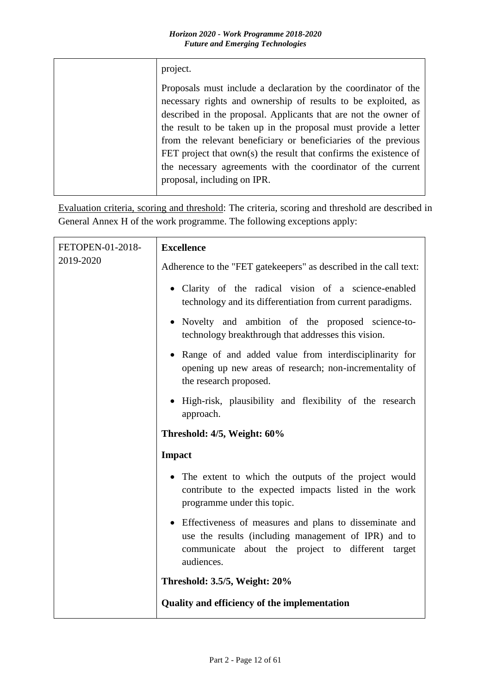| project.                                                                                                                                                                                                                                                                                                                                                                                                                                                                                                      |
|---------------------------------------------------------------------------------------------------------------------------------------------------------------------------------------------------------------------------------------------------------------------------------------------------------------------------------------------------------------------------------------------------------------------------------------------------------------------------------------------------------------|
| Proposals must include a declaration by the coordinator of the<br>necessary rights and ownership of results to be exploited, as<br>described in the proposal. Applicants that are not the owner of<br>the result to be taken up in the proposal must provide a letter<br>from the relevant beneficiary or beneficiaries of the previous<br>FET project that $own(s)$ the result that confirms the existence of<br>the necessary agreements with the coordinator of the current<br>proposal, including on IPR. |

Evaluation criteria, scoring and threshold: The criteria, scoring and threshold are described in General Annex H of the work programme. The following exceptions apply:

| FETOPEN-01-2018-<br>2019-2020 | <b>Excellence</b>                                                                                                                                                                   |
|-------------------------------|-------------------------------------------------------------------------------------------------------------------------------------------------------------------------------------|
|                               | Adherence to the "FET gatekeepers" as described in the call text:                                                                                                                   |
|                               | • Clarity of the radical vision of a science-enabled<br>technology and its differentiation from current paradigms.                                                                  |
|                               | · Novelty and ambition of the proposed science-to-<br>technology breakthrough that addresses this vision.                                                                           |
|                               | • Range of and added value from interdisciplinarity for<br>opening up new areas of research; non-incrementality of<br>the research proposed.                                        |
|                               | • High-risk, plausibility and flexibility of the research<br>approach.                                                                                                              |
|                               | Threshold: 4/5, Weight: 60%                                                                                                                                                         |
|                               | <b>Impact</b>                                                                                                                                                                       |
|                               | • The extent to which the outputs of the project would<br>contribute to the expected impacts listed in the work<br>programme under this topic.                                      |
|                               | • Effectiveness of measures and plans to disseminate and<br>use the results (including management of IPR) and to<br>communicate about the project to different target<br>audiences. |
|                               | Threshold: 3.5/5, Weight: 20%                                                                                                                                                       |
|                               | Quality and efficiency of the implementation                                                                                                                                        |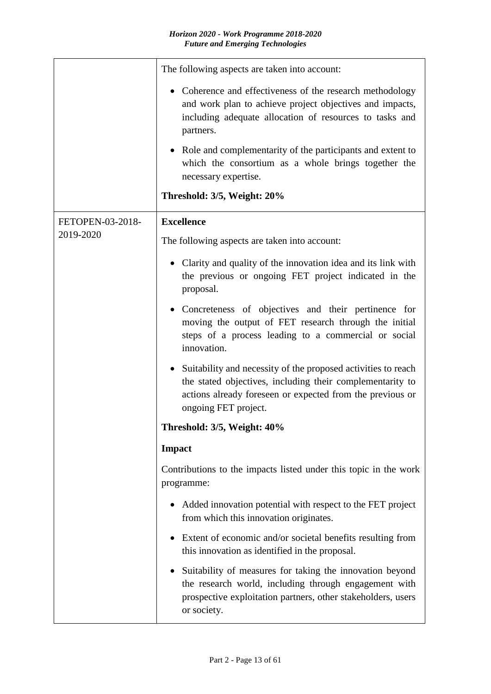|                  | The following aspects are taken into account:                                                                                                                                                                                |
|------------------|------------------------------------------------------------------------------------------------------------------------------------------------------------------------------------------------------------------------------|
|                  | • Coherence and effectiveness of the research methodology<br>and work plan to achieve project objectives and impacts,<br>including adequate allocation of resources to tasks and<br>partners.                                |
|                  | • Role and complementarity of the participants and extent to<br>which the consortium as a whole brings together the<br>necessary expertise.                                                                                  |
|                  | Threshold: 3/5, Weight: 20%                                                                                                                                                                                                  |
| FETOPEN-03-2018- | <b>Excellence</b>                                                                                                                                                                                                            |
| 2019-2020        | The following aspects are taken into account:                                                                                                                                                                                |
|                  | Clarity and quality of the innovation idea and its link with<br>the previous or ongoing FET project indicated in the<br>proposal.                                                                                            |
|                  | • Concreteness of objectives and their pertinence for<br>moving the output of FET research through the initial<br>steps of a process leading to a commercial or social<br>innovation.                                        |
|                  | Suitability and necessity of the proposed activities to reach<br>$\bullet$<br>the stated objectives, including their complementarity to<br>actions already foreseen or expected from the previous or<br>ongoing FET project. |
|                  | Threshold: 3/5, Weight: 40%                                                                                                                                                                                                  |
|                  | <b>Impact</b>                                                                                                                                                                                                                |
|                  | Contributions to the impacts listed under this topic in the work<br>programme:                                                                                                                                               |
|                  | Added innovation potential with respect to the FET project<br>from which this innovation originates.                                                                                                                         |
|                  | Extent of economic and/or societal benefits resulting from<br>this innovation as identified in the proposal.                                                                                                                 |
|                  | Suitability of measures for taking the innovation beyond<br>the research world, including through engagement with<br>prospective exploitation partners, other stakeholders, users<br>or society.                             |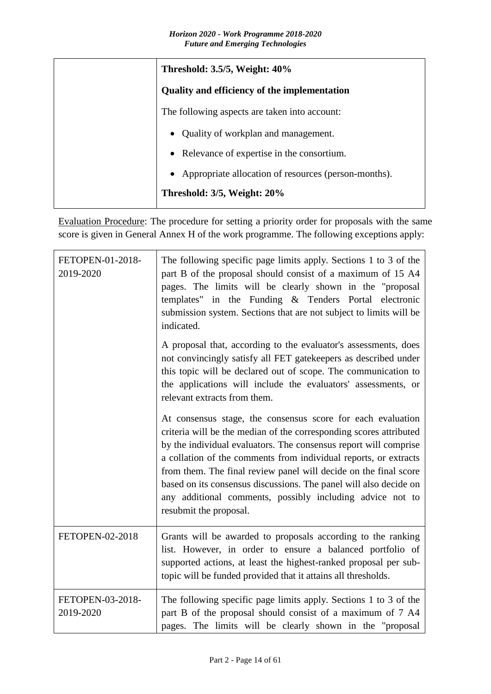| Threshold: 3.5/5, Weight: 40%                          |
|--------------------------------------------------------|
| <b>Quality and efficiency of the implementation</b>    |
| The following aspects are taken into account:          |
| • Quality of workplan and management.                  |
| • Relevance of expertise in the consortium.            |
| • Appropriate allocation of resources (person-months). |
| Threshold: 3/5, Weight: 20%                            |

Evaluation Procedure: The procedure for setting a priority order for proposals with the same score is given in General Annex H of the work programme. The following exceptions apply:

| FETOPEN-01-2018-<br>2019-2020 | The following specific page limits apply. Sections 1 to 3 of the<br>part B of the proposal should consist of a maximum of 15 A4<br>pages. The limits will be clearly shown in the "proposal<br>templates" in the Funding & Tenders Portal electronic<br>submission system. Sections that are not subject to limits will be<br>indicated.                                                                                                                                                                  |
|-------------------------------|-----------------------------------------------------------------------------------------------------------------------------------------------------------------------------------------------------------------------------------------------------------------------------------------------------------------------------------------------------------------------------------------------------------------------------------------------------------------------------------------------------------|
|                               | A proposal that, according to the evaluator's assessments, does<br>not convincingly satisfy all FET gatekeepers as described under<br>this topic will be declared out of scope. The communication to<br>the applications will include the evaluators' assessments, or<br>relevant extracts from them.                                                                                                                                                                                                     |
|                               | At consensus stage, the consensus score for each evaluation<br>criteria will be the median of the corresponding scores attributed<br>by the individual evaluators. The consensus report will comprise<br>a collation of the comments from individual reports, or extracts<br>from them. The final review panel will decide on the final score<br>based on its consensus discussions. The panel will also decide on<br>any additional comments, possibly including advice not to<br>resubmit the proposal. |
| FETOPEN-02-2018               | Grants will be awarded to proposals according to the ranking<br>list. However, in order to ensure a balanced portfolio of<br>supported actions, at least the highest-ranked proposal per sub-<br>topic will be funded provided that it attains all thresholds.                                                                                                                                                                                                                                            |
| FETOPEN-03-2018-<br>2019-2020 | The following specific page limits apply. Sections 1 to 3 of the<br>part B of the proposal should consist of a maximum of 7 A4<br>pages. The limits will be clearly shown in the "proposal                                                                                                                                                                                                                                                                                                                |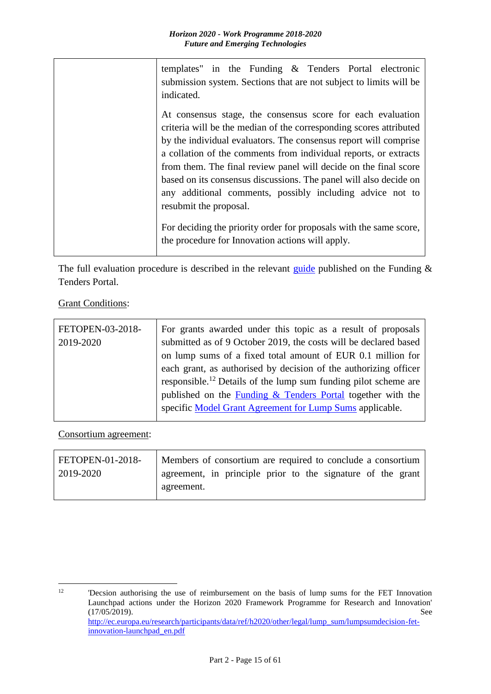| templates" in the Funding & Tenders Portal electronic<br>submission system. Sections that are not subject to limits will be<br>indicated.                                                                                                                                                                                                                                                                                                                                                                                                                                                                                           |
|-------------------------------------------------------------------------------------------------------------------------------------------------------------------------------------------------------------------------------------------------------------------------------------------------------------------------------------------------------------------------------------------------------------------------------------------------------------------------------------------------------------------------------------------------------------------------------------------------------------------------------------|
| At consensus stage, the consensus score for each evaluation<br>criteria will be the median of the corresponding scores attributed<br>by the individual evaluators. The consensus report will comprise<br>a collation of the comments from individual reports, or extracts<br>from them. The final review panel will decide on the final score<br>based on its consensus discussions. The panel will also decide on<br>any additional comments, possibly including advice not to<br>resubmit the proposal.<br>For deciding the priority order for proposals with the same score,<br>the procedure for Innovation actions will apply. |

The full evaluation procedure is described in the relevant [guide](http://ec.europa.eu/research/participants/docs/h2020-funding-guide/grants/applying-for-funding/submit-proposals_en.htm) published on the Funding  $\&$ Tenders Portal.

**Grant Conditions:** 

| FETOPEN-03-2018- | For grants awarded under this topic as a result of proposals                |
|------------------|-----------------------------------------------------------------------------|
| 2019-2020        | submitted as of 9 October 2019, the costs will be declared based            |
|                  | on lump sums of a fixed total amount of EUR 0.1 million for                 |
|                  | each grant, as authorised by decision of the authorizing officer            |
|                  | responsible. <sup>12</sup> Details of the lump sum funding pilot scheme are |
|                  | published on the <b>Funding &amp; Tenders Portal</b> together with the      |
|                  | specific Model Grant Agreement for Lump Sums applicable.                    |
|                  |                                                                             |

Consortium agreement:

| FETOPEN-01-2018- | Members of consortium are required to conclude a consortium |
|------------------|-------------------------------------------------------------|
| 2019-2020        | agreement, in principle prior to the signature of the grant |
|                  | agreement.                                                  |

 $12$ <sup>12</sup> 'Decsion authorising the use of reimbursement on the basis of lump sums for the FET Innovation Launchpad actions under the Horizon 2020 Framework Programme for Research and Innovation' (17/05/2019). See [http://ec.europa.eu/research/participants/data/ref/h2020/other/legal/lump\\_sum/lumpsumdecision-fet](http://ec.europa.eu/research/participants/data/ref/h2020/other/legal/lump_sum/lumpsumdecision-fet-innovation-launchpad_en.pdf)[innovation-launchpad\\_en.pdf](http://ec.europa.eu/research/participants/data/ref/h2020/other/legal/lump_sum/lumpsumdecision-fet-innovation-launchpad_en.pdf)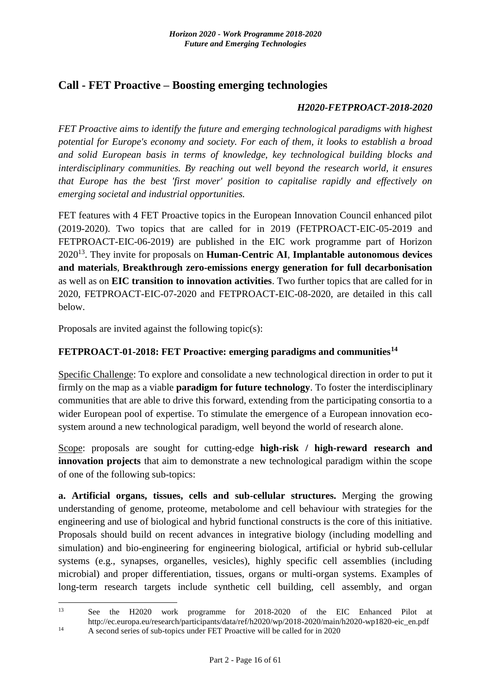# <span id="page-15-0"></span>**Call - FET Proactive – Boosting emerging technologies**

#### *H2020-FETPROACT-2018-2020*

*FET Proactive aims to identify the future and emerging technological paradigms with highest potential for Europe's economy and society. For each of them, it looks to establish a broad and solid European basis in terms of knowledge, key technological building blocks and interdisciplinary communities. By reaching out well beyond the research world, it ensures that Europe has the best 'first mover' position to capitalise rapidly and effectively on emerging societal and industrial opportunities.*

FET features with 4 FET Proactive topics in the European Innovation Council enhanced pilot (2019-2020). Two topics that are called for in 2019 (FETPROACT-EIC-05-2019 and FETPROACT-EIC-06-2019) are published in the EIC work programme part of Horizon 2020<sup>13</sup>. They invite for proposals on **Human-Centric AI**, **Implantable autonomous devices and materials**, **Breakthrough zero-emissions energy generation for full decarbonisation**  as well as on **EIC transition to innovation activities**. Two further topics that are called for in 2020, FETPROACT-EIC-07-2020 and FETPROACT-EIC-08-2020, are detailed in this call below.

Proposals are invited against the following topic(s):

### <span id="page-15-1"></span>**FETPROACT-01-2018: FET Proactive: emerging paradigms and communities<sup>14</sup>**

Specific Challenge: To explore and consolidate a new technological direction in order to put it firmly on the map as a viable **paradigm for future technology**. To foster the interdisciplinary communities that are able to drive this forward, extending from the participating consortia to a wider European pool of expertise. To stimulate the emergence of a European innovation ecosystem around a new technological paradigm, well beyond the world of research alone.

Scope: proposals are sought for cutting-edge **high-risk / high-reward research and innovation projects** that aim to demonstrate a new technological paradigm within the scope of one of the following sub-topics:

**a. Artificial organs, tissues, cells and sub-cellular structures.** Merging the growing understanding of genome, proteome, metabolome and cell behaviour with strategies for the engineering and use of biological and hybrid functional constructs is the core of this initiative. Proposals should build on recent advances in integrative biology (including modelling and simulation) and bio-engineering for engineering biological, artificial or hybrid sub-cellular systems (e.g., synapses, organelles, vesicles), highly specific cell assemblies (including microbial) and proper differentiation, tissues, organs or multi-organ systems. Examples of long-term research targets include synthetic cell building, cell assembly, and organ

<sup>1</sup> <sup>13</sup> See the H2020 work programme for 2018-2020 of the EIC Enhanced Pilot at http://ec.europa.eu/research/participants/data/ref/h2020/wp/2018-2020/main/h2020-wp1820-eic\_en.pdf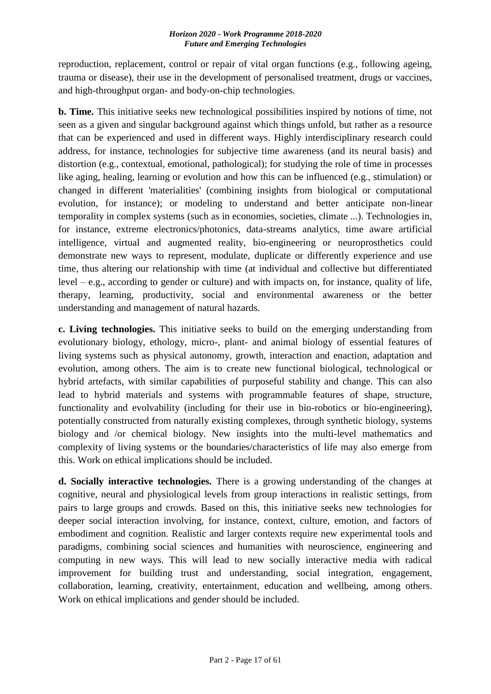reproduction, replacement, control or repair of vital organ functions (e.g., following ageing, trauma or disease), their use in the development of personalised treatment, drugs or vaccines, and high-throughput organ- and body-on-chip technologies.

**b. Time.** This initiative seeks new technological possibilities inspired by notions of time, not seen as a given and singular background against which things unfold, but rather as a resource that can be experienced and used in different ways. Highly interdisciplinary research could address, for instance, technologies for subjective time awareness (and its neural basis) and distortion (e.g., contextual, emotional, pathological); for studying the role of time in processes like aging, healing, learning or evolution and how this can be influenced (e.g., stimulation) or changed in different 'materialities' (combining insights from biological or computational evolution, for instance); or modeling to understand and better anticipate non-linear temporality in complex systems (such as in economies, societies, climate ...). Technologies in, for instance, extreme electronics/photonics, data-streams analytics, time aware artificial intelligence, virtual and augmented reality, bio-engineering or neuroprosthetics could demonstrate new ways to represent, modulate, duplicate or differently experience and use time, thus altering our relationship with time (at individual and collective but differentiated level – e.g., according to gender or culture) and with impacts on, for instance, quality of life, therapy, learning, productivity, social and environmental awareness or the better understanding and management of natural hazards.

**c. Living technologies.** This initiative seeks to build on the emerging understanding from evolutionary biology, ethology, micro-, plant- and animal biology of essential features of living systems such as physical autonomy, growth, interaction and enaction, adaptation and evolution, among others. The aim is to create new functional biological, technological or hybrid artefacts, with similar capabilities of purposeful stability and change. This can also lead to hybrid materials and systems with programmable features of shape, structure, functionality and evolvability (including for their use in bio-robotics or bio-engineering), potentially constructed from naturally existing complexes, through synthetic biology, systems biology and /or chemical biology. New insights into the multi-level mathematics and complexity of living systems or the boundaries/characteristics of life may also emerge from this. Work on ethical implications should be included.

**d. Socially interactive technologies.** There is a growing understanding of the changes at cognitive, neural and physiological levels from group interactions in realistic settings, from pairs to large groups and crowds. Based on this, this initiative seeks new technologies for deeper social interaction involving, for instance, context, culture, emotion, and factors of embodiment and cognition. Realistic and larger contexts require new experimental tools and paradigms, combining social sciences and humanities with neuroscience, engineering and computing in new ways. This will lead to new socially interactive media with radical improvement for building trust and understanding, social integration, engagement, collaboration, learning, creativity, entertainment, education and wellbeing, among others. Work on ethical implications and gender should be included.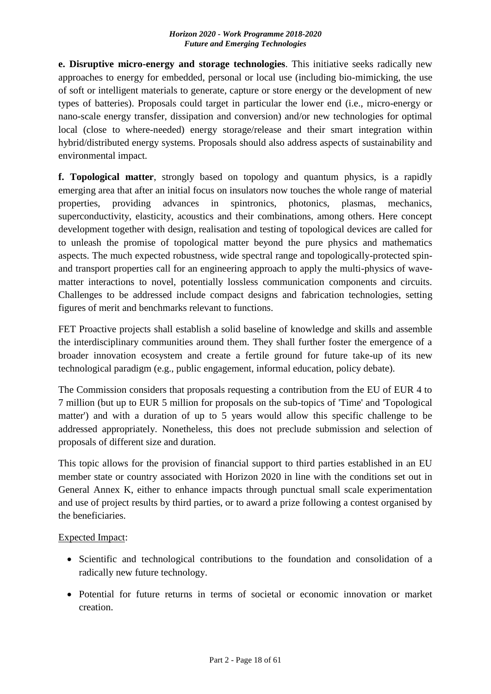**e. Disruptive micro-energy and storage technologies**. This initiative seeks radically new approaches to energy for embedded, personal or local use (including bio-mimicking, the use of soft or intelligent materials to generate, capture or store energy or the development of new types of batteries). Proposals could target in particular the lower end (i.e., micro-energy or nano-scale energy transfer, dissipation and conversion) and/or new technologies for optimal local (close to where-needed) energy storage/release and their smart integration within hybrid/distributed energy systems. Proposals should also address aspects of sustainability and environmental impact.

**f. Topological matter**, strongly based on topology and quantum physics, is a rapidly emerging area that after an initial focus on insulators now touches the whole range of material properties, providing advances in spintronics, photonics, plasmas, mechanics, superconductivity, elasticity, acoustics and their combinations, among others. Here concept development together with design, realisation and testing of topological devices are called for to unleash the promise of topological matter beyond the pure physics and mathematics aspects. The much expected robustness, wide spectral range and topologically-protected spinand transport properties call for an engineering approach to apply the multi-physics of wavematter interactions to novel, potentially lossless communication components and circuits. Challenges to be addressed include compact designs and fabrication technologies, setting figures of merit and benchmarks relevant to functions.

FET Proactive projects shall establish a solid baseline of knowledge and skills and assemble the interdisciplinary communities around them. They shall further foster the emergence of a broader innovation ecosystem and create a fertile ground for future take-up of its new technological paradigm (e.g., public engagement, informal education, policy debate).

The Commission considers that proposals requesting a contribution from the EU of EUR 4 to 7 million (but up to EUR 5 million for proposals on the sub-topics of 'Time' and 'Topological matter') and with a duration of up to 5 years would allow this specific challenge to be addressed appropriately. Nonetheless, this does not preclude submission and selection of proposals of different size and duration.

This topic allows for the provision of financial support to third parties established in an EU member state or country associated with Horizon 2020 in line with the conditions set out in General Annex K, either to enhance impacts through punctual small scale experimentation and use of project results by third parties, or to award a prize following a contest organised by the beneficiaries.

Expected Impact:

- Scientific and technological contributions to the foundation and consolidation of a radically new future technology.
- Potential for future returns in terms of societal or economic innovation or market creation.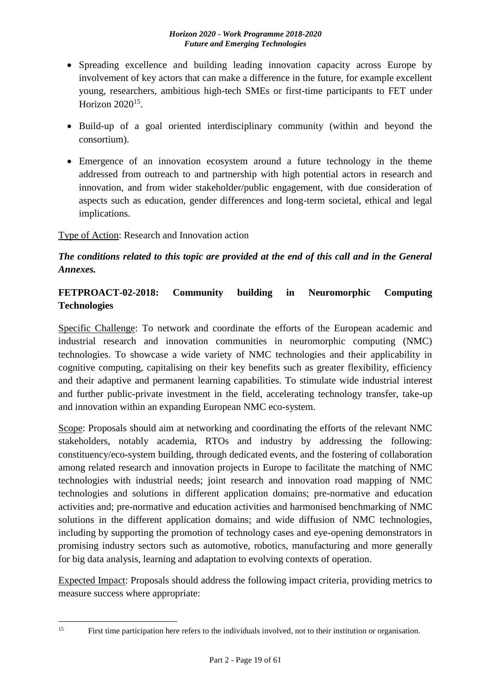- Spreading excellence and building leading innovation capacity across Europe by involvement of key actors that can make a difference in the future, for example excellent young, researchers, ambitious high-tech SMEs or first-time participants to FET under Horizon 2020<sup>15</sup>.
- Build-up of a goal oriented interdisciplinary community (within and beyond the consortium).
- Emergence of an innovation ecosystem around a future technology in the theme addressed from outreach to and partnership with high potential actors in research and innovation, and from wider stakeholder/public engagement, with due consideration of aspects such as education, gender differences and long-term societal, ethical and legal implications.

### Type of Action: Research and Innovation action

# *The conditions related to this topic are provided at the end of this call and in the General Annexes.*

# <span id="page-18-0"></span>**FETPROACT-02-2018: Community building in Neuromorphic Computing Technologies**

Specific Challenge: To network and coordinate the efforts of the European academic and industrial research and innovation communities in neuromorphic computing (NMC) technologies. To showcase a wide variety of NMC technologies and their applicability in cognitive computing, capitalising on their key benefits such as greater flexibility, efficiency and their adaptive and permanent learning capabilities. To stimulate wide industrial interest and further public-private investment in the field, accelerating technology transfer, take-up and innovation within an expanding European NMC eco-system.

Scope: Proposals should aim at networking and coordinating the efforts of the relevant NMC stakeholders, notably academia, RTOs and industry by addressing the following: constituency/eco-system building, through dedicated events, and the fostering of collaboration among related research and innovation projects in Europe to facilitate the matching of NMC technologies with industrial needs; joint research and innovation road mapping of NMC technologies and solutions in different application domains; pre-normative and education activities and; pre-normative and education activities and harmonised benchmarking of NMC solutions in the different application domains; and wide diffusion of NMC technologies, including by supporting the promotion of technology cases and eye-opening demonstrators in promising industry sectors such as automotive, robotics, manufacturing and more generally for big data analysis, learning and adaptation to evolving contexts of operation.

Expected Impact: Proposals should address the following impact criteria, providing metrics to measure success where appropriate:

 $15$ 

First time participation here refers to the individuals involved, not to their institution or organisation.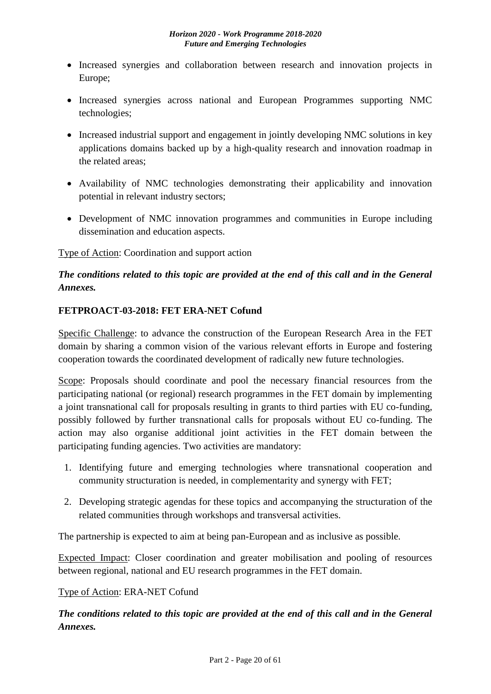- Increased synergies and collaboration between research and innovation projects in Europe;
- Increased synergies across national and European Programmes supporting NMC technologies;
- Increased industrial support and engagement in jointly developing NMC solutions in key applications domains backed up by a high-quality research and innovation roadmap in the related areas;
- Availability of NMC technologies demonstrating their applicability and innovation potential in relevant industry sectors;
- Development of NMC innovation programmes and communities in Europe including dissemination and education aspects.

Type of Action: Coordination and support action

# *The conditions related to this topic are provided at the end of this call and in the General Annexes.*

### <span id="page-19-0"></span>**FETPROACT-03-2018: FET ERA-NET Cofund**

Specific Challenge: to advance the construction of the European Research Area in the FET domain by sharing a common vision of the various relevant efforts in Europe and fostering cooperation towards the coordinated development of radically new future technologies.

Scope: Proposals should coordinate and pool the necessary financial resources from the participating national (or regional) research programmes in the FET domain by implementing a joint transnational call for proposals resulting in grants to third parties with EU co-funding, possibly followed by further transnational calls for proposals without EU co-funding. The action may also organise additional joint activities in the FET domain between the participating funding agencies. Two activities are mandatory:

- 1. Identifying future and emerging technologies where transnational cooperation and community structuration is needed, in complementarity and synergy with FET;
- 2. Developing strategic agendas for these topics and accompanying the structuration of the related communities through workshops and transversal activities.

The partnership is expected to aim at being pan-European and as inclusive as possible.

Expected Impact: Closer coordination and greater mobilisation and pooling of resources between regional, national and EU research programmes in the FET domain.

### Type of Action: ERA-NET Cofund

*The conditions related to this topic are provided at the end of this call and in the General Annexes.*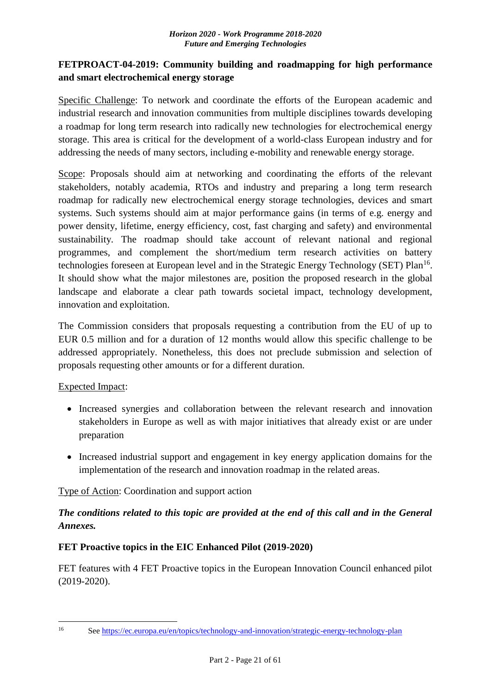## <span id="page-20-0"></span>**FETPROACT-04-2019: Community building and roadmapping for high performance and smart electrochemical energy storage**

Specific Challenge: To network and coordinate the efforts of the European academic and industrial research and innovation communities from multiple disciplines towards developing a roadmap for long term research into radically new technologies for electrochemical energy storage. This area is critical for the development of a world-class European industry and for addressing the needs of many sectors, including e-mobility and renewable energy storage.

Scope: Proposals should aim at networking and coordinating the efforts of the relevant stakeholders, notably academia, RTOs and industry and preparing a long term research roadmap for radically new electrochemical energy storage technologies, devices and smart systems. Such systems should aim at major performance gains (in terms of e.g. energy and power density, lifetime, energy efficiency, cost, fast charging and safety) and environmental sustainability. The roadmap should take account of relevant national and regional programmes, and complement the short/medium term research activities on battery technologies foreseen at European level and in the Strategic Energy Technology (SET) Plan<sup>16</sup>. It should show what the major milestones are, position the proposed research in the global landscape and elaborate a clear path towards societal impact, technology development, innovation and exploitation.

The Commission considers that proposals requesting a contribution from the EU of up to EUR 0.5 million and for a duration of 12 months would allow this specific challenge to be addressed appropriately. Nonetheless, this does not preclude submission and selection of proposals requesting other amounts or for a different duration.

### Expected Impact:

- Increased synergies and collaboration between the relevant research and innovation stakeholders in Europe as well as with major initiatives that already exist or are under preparation
- Increased industrial support and engagement in key energy application domains for the implementation of the research and innovation roadmap in the related areas.

### Type of Action: Coordination and support action

# *The conditions related to this topic are provided at the end of this call and in the General Annexes.*

### <span id="page-20-1"></span>**FET Proactive topics in the EIC Enhanced Pilot (2019-2020)**

FET features with 4 FET Proactive topics in the European Innovation Council enhanced pilot (2019-2020).

 $16$ 

<sup>16</sup> See<https://ec.europa.eu/en/topics/technology-and-innovation/strategic-energy-technology-plan>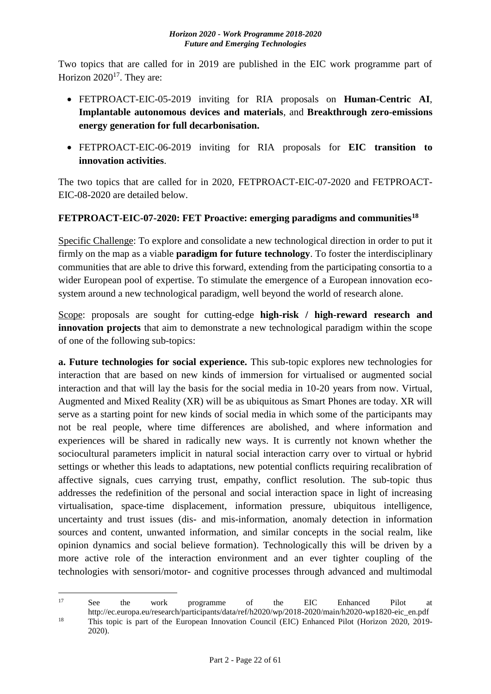Two topics that are called for in 2019 are published in the EIC work programme part of Horizon  $2020^{17}$ . They are:

- FETPROACT-EIC-05-2019 inviting for RIA proposals on **Human-Centric AI**, **Implantable autonomous devices and materials**, and **Breakthrough zero-emissions energy generation for full decarbonisation.**
- FETPROACT-EIC-06-2019 inviting for RIA proposals for **EIC transition to innovation activities**.

The two topics that are called for in 2020, FETPROACT-EIC-07-2020 and FETPROACT-EIC-08-2020 are detailed below.

# <span id="page-21-0"></span>**FETPROACT-EIC-07-2020: FET Proactive: emerging paradigms and communities<sup>18</sup>**

Specific Challenge: To explore and consolidate a new technological direction in order to put it firmly on the map as a viable **paradigm for future technology**. To foster the interdisciplinary communities that are able to drive this forward, extending from the participating consortia to a wider European pool of expertise. To stimulate the emergence of a European innovation ecosystem around a new technological paradigm, well beyond the world of research alone.

Scope: proposals are sought for cutting-edge **high-risk / high-reward research and innovation projects** that aim to demonstrate a new technological paradigm within the scope of one of the following sub-topics:

**a. Future technologies for social experience.** This sub-topic explores new technologies for interaction that are based on new kinds of immersion for virtualised or augmented social interaction and that will lay the basis for the social media in 10-20 years from now. Virtual, Augmented and Mixed Reality (XR) will be as ubiquitous as Smart Phones are today. XR will serve as a starting point for new kinds of social media in which some of the participants may not be real people, where time differences are abolished, and where information and experiences will be shared in radically new ways. It is currently not known whether the sociocultural parameters implicit in natural social interaction carry over to virtual or hybrid settings or whether this leads to adaptations, new potential conflicts requiring recalibration of affective signals, cues carrying trust, empathy, conflict resolution. The sub-topic thus addresses the redefinition of the personal and social interaction space in light of increasing virtualisation, space-time displacement, information pressure, ubiquitous intelligence, uncertainty and trust issues (dis- and mis-information, anomaly detection in information sources and content, unwanted information, and similar concepts in the social realm, like opinion dynamics and social believe formation). Technologically this will be driven by a more active role of the interaction environment and an ever tighter coupling of the technologies with sensori/motor- and cognitive processes through advanced and multimodal

2020).

 $17$ <sup>17</sup> See the work programme of the EIC Enhanced Pilot at http://ec.europa.eu/research/participants/data/ref/h2020/wp/2018-2020/main/h2020-wp1820-eic\_en.pdf <sup>18</sup> This topic is part of the European Innovation Council (EIC) Enhanced Pilot (Horizon 2020, 2019-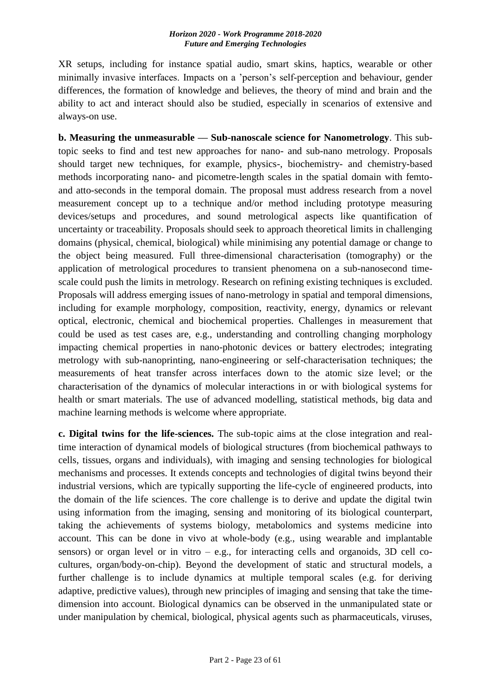XR setups, including for instance spatial audio, smart skins, haptics, wearable or other minimally invasive interfaces. Impacts on a 'person's self-perception and behaviour, gender differences, the formation of knowledge and believes, the theory of mind and brain and the ability to act and interact should also be studied, especially in scenarios of extensive and always-on use.

**b. Measuring the unmeasurable –– Sub-nanoscale science for Nanometrology**. This subtopic seeks to find and test new approaches for nano- and sub-nano metrology. Proposals should target new techniques, for example, physics-, biochemistry- and chemistry-based methods incorporating nano- and picometre-length scales in the spatial domain with femtoand atto-seconds in the temporal domain. The proposal must address research from a novel measurement concept up to a technique and/or method including prototype measuring devices/setups and procedures, and sound metrological aspects like quantification of uncertainty or traceability. Proposals should seek to approach theoretical limits in challenging domains (physical, chemical, biological) while minimising any potential damage or change to the object being measured. Full three-dimensional characterisation (tomography) or the application of metrological procedures to transient phenomena on a sub-nanosecond timescale could push the limits in metrology. Research on refining existing techniques is excluded. Proposals will address emerging issues of nano-metrology in spatial and temporal dimensions, including for example morphology, composition, reactivity, energy, dynamics or relevant optical, electronic, chemical and biochemical properties. Challenges in measurement that could be used as test cases are, e.g., understanding and controlling changing morphology impacting chemical properties in nano-photonic devices or battery electrodes; integrating metrology with sub-nanoprinting, nano-engineering or self-characterisation techniques; the measurements of heat transfer across interfaces down to the atomic size level; or the characterisation of the dynamics of molecular interactions in or with biological systems for health or smart materials. The use of advanced modelling, statistical methods, big data and machine learning methods is welcome where appropriate.

**c. Digital twins for the life-sciences.** The sub-topic aims at the close integration and realtime interaction of dynamical models of biological structures (from biochemical pathways to cells, tissues, organs and individuals), with imaging and sensing technologies for biological mechanisms and processes. It extends concepts and technologies of digital twins beyond their industrial versions, which are typically supporting the life-cycle of engineered products, into the domain of the life sciences. The core challenge is to derive and update the digital twin using information from the imaging, sensing and monitoring of its biological counterpart, taking the achievements of systems biology, metabolomics and systems medicine into account. This can be done in vivo at whole-body (e.g., using wearable and implantable sensors) or organ level or in vitro  $-$  e.g., for interacting cells and organoids, 3D cell cocultures, organ/body-on-chip). Beyond the development of static and structural models, a further challenge is to include dynamics at multiple temporal scales (e.g. for deriving adaptive, predictive values), through new principles of imaging and sensing that take the timedimension into account. Biological dynamics can be observed in the unmanipulated state or under manipulation by chemical, biological, physical agents such as pharmaceuticals, viruses,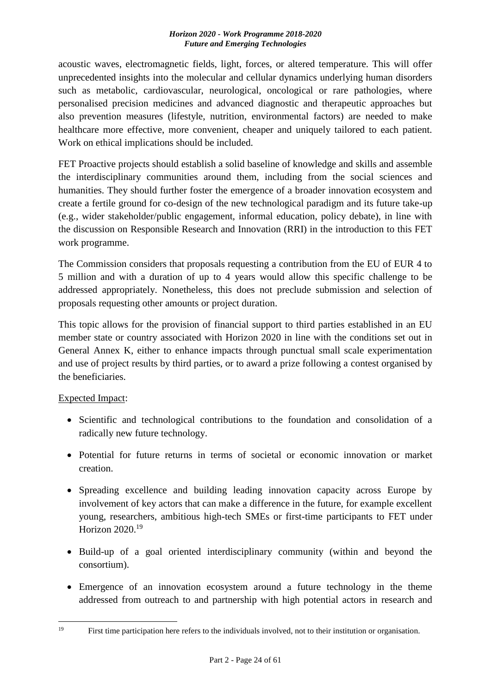acoustic waves, electromagnetic fields, light, forces, or altered temperature. This will offer unprecedented insights into the molecular and cellular dynamics underlying human disorders such as metabolic, cardiovascular, neurological, oncological or rare pathologies, where personalised precision medicines and advanced diagnostic and therapeutic approaches but also prevention measures (lifestyle, nutrition, environmental factors) are needed to make healthcare more effective, more convenient, cheaper and uniquely tailored to each patient. Work on ethical implications should be included.

FET Proactive projects should establish a solid baseline of knowledge and skills and assemble the interdisciplinary communities around them, including from the social sciences and humanities. They should further foster the emergence of a broader innovation ecosystem and create a fertile ground for co-design of the new technological paradigm and its future take-up (e.g., wider stakeholder/public engagement, informal education, policy debate), in line with the discussion on Responsible Research and Innovation (RRI) in the introduction to this FET work programme.

The Commission considers that proposals requesting a contribution from the EU of EUR 4 to 5 million and with a duration of up to 4 years would allow this specific challenge to be addressed appropriately. Nonetheless, this does not preclude submission and selection of proposals requesting other amounts or project duration.

This topic allows for the provision of financial support to third parties established in an EU member state or country associated with Horizon 2020 in line with the conditions set out in General Annex K, either to enhance impacts through punctual small scale experimentation and use of project results by third parties, or to award a prize following a contest organised by the beneficiaries.

### Expected Impact:

- Scientific and technological contributions to the foundation and consolidation of a radically new future technology.
- Potential for future returns in terms of societal or economic innovation or market creation.
- Spreading excellence and building leading innovation capacity across Europe by involvement of key actors that can make a difference in the future, for example excellent young, researchers, ambitious high-tech SMEs or first-time participants to FET under Horizon 2020.<sup>19</sup>
- Build-up of a goal oriented interdisciplinary community (within and beyond the consortium).
- Emergence of an innovation ecosystem around a future technology in the theme addressed from outreach to and partnership with high potential actors in research and

 $19$ First time participation here refers to the individuals involved, not to their institution or organisation.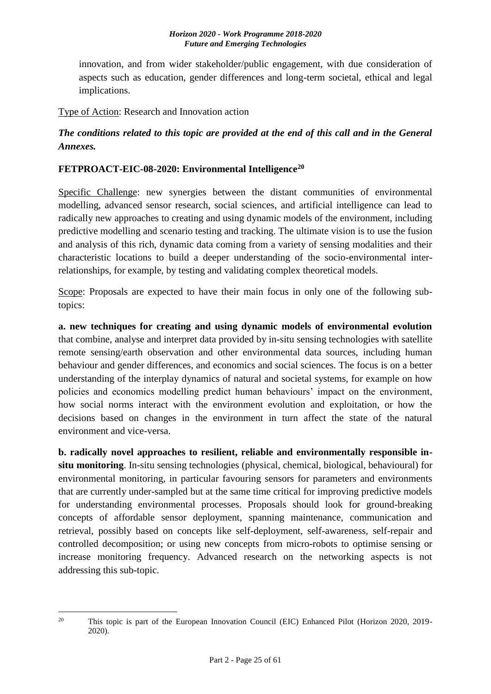innovation, and from wider stakeholder/public engagement, with due consideration of aspects such as education, gender differences and long-term societal, ethical and legal implications.

Type of Action: Research and Innovation action

# *The conditions related to this topic are provided at the end of this call and in the General Annexes.*

### <span id="page-24-0"></span>**FETPROACT-EIC-08-2020: Environmental Intelligence<sup>20</sup>**

Specific Challenge: new synergies between the distant communities of environmental modelling, advanced sensor research, social sciences, and artificial intelligence can lead to radically new approaches to creating and using dynamic models of the environment, including predictive modelling and scenario testing and tracking. The ultimate vision is to use the fusion and analysis of this rich, dynamic data coming from a variety of sensing modalities and their characteristic locations to build a deeper understanding of the socio-environmental interrelationships, for example, by testing and validating complex theoretical models.

Scope: Proposals are expected to have their main focus in only one of the following subtopics:

**a. new techniques for creating and using dynamic models of environmental evolution** that combine, analyse and interpret data provided by in-situ sensing technologies with satellite remote sensing/earth observation and other environmental data sources, including human behaviour and gender differences, and economics and social sciences. The focus is on a better understanding of the interplay dynamics of natural and societal systems, for example on how policies and economics modelling predict human behaviours' impact on the environment, how social norms interact with the environment evolution and exploitation, or how the decisions based on changes in the environment in turn affect the state of the natural environment and vice-versa.

**b. radically novel approaches to resilient, reliable and environmentally responsible insitu monitoring**. In-situ sensing technologies (physical, chemical, biological, behavioural) for environmental monitoring, in particular favouring sensors for parameters and environments that are currently under-sampled but at the same time critical for improving predictive models for understanding environmental processes. Proposals should look for ground-breaking concepts of affordable sensor deployment, spanning maintenance, communication and retrieval, possibly based on concepts like self-deployment, self-awareness, self-repair and controlled decomposition; or using new concepts from micro-robots to optimise sensing or increase monitoring frequency. Advanced research on the networking aspects is not addressing this sub-topic.

<sup>1</sup> <sup>20</sup> This topic is part of the European Innovation Council (EIC) Enhanced Pilot (Horizon 2020, 2019-2020).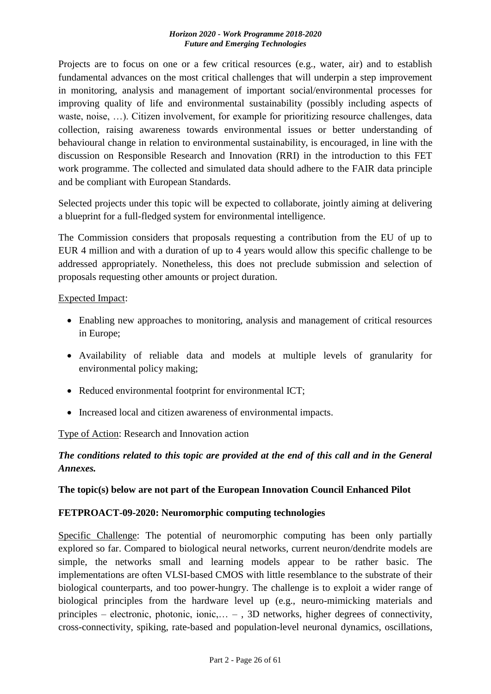Projects are to focus on one or a few critical resources (e.g., water, air) and to establish fundamental advances on the most critical challenges that will underpin a step improvement in monitoring, analysis and management of important social/environmental processes for improving quality of life and environmental sustainability (possibly including aspects of waste, noise, …). Citizen involvement, for example for prioritizing resource challenges, data collection, raising awareness towards environmental issues or better understanding of behavioural change in relation to environmental sustainability, is encouraged, in line with the discussion on Responsible Research and Innovation (RRI) in the introduction to this FET work programme. The collected and simulated data should adhere to the FAIR data principle and be compliant with European Standards.

Selected projects under this topic will be expected to collaborate, jointly aiming at delivering a blueprint for a full-fledged system for environmental intelligence.

The Commission considers that proposals requesting a contribution from the EU of up to EUR 4 million and with a duration of up to 4 years would allow this specific challenge to be addressed appropriately. Nonetheless, this does not preclude submission and selection of proposals requesting other amounts or project duration.

Expected Impact:

- Enabling new approaches to monitoring, analysis and management of critical resources in Europe;
- Availability of reliable data and models at multiple levels of granularity for environmental policy making;
- Reduced environmental footprint for environmental ICT;
- Increased local and citizen awareness of environmental impacts.

Type of Action: Research and Innovation action

# *The conditions related to this topic are provided at the end of this call and in the General Annexes.*

### <span id="page-25-0"></span>**The topic(s) below are not part of the European Innovation Council Enhanced Pilot**

### <span id="page-25-1"></span>**FETPROACT-09-2020: Neuromorphic computing technologies**

Specific Challenge: The potential of neuromorphic computing has been only partially explored so far. Compared to biological neural networks, current neuron/dendrite models are simple, the networks small and learning models appear to be rather basic. The implementations are often VLSI-based CMOS with little resemblance to the substrate of their biological counterparts, and too power-hungry. The challenge is to exploit a wider range of biological principles from the hardware level up (e.g., neuro-mimicking materials and principles – electronic, photonic, ionic,… – , 3D networks, higher degrees of connectivity, cross-connectivity, spiking, rate-based and population-level neuronal dynamics, oscillations,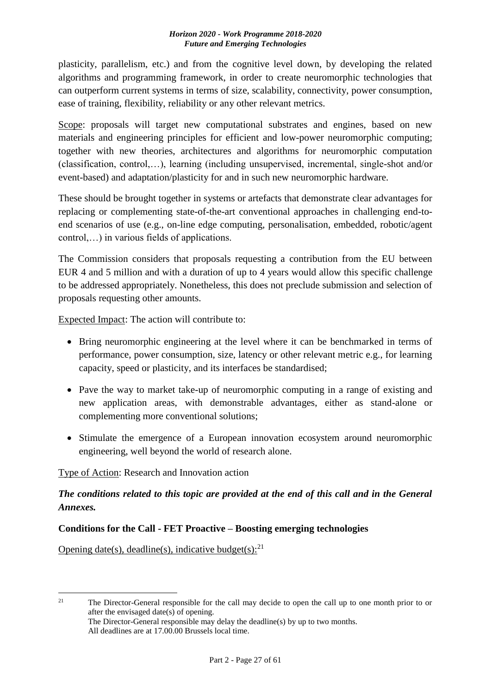plasticity, parallelism, etc.) and from the cognitive level down, by developing the related algorithms and programming framework, in order to create neuromorphic technologies that can outperform current systems in terms of size, scalability, connectivity, power consumption, ease of training, flexibility, reliability or any other relevant metrics.

Scope: proposals will target new computational substrates and engines, based on new materials and engineering principles for efficient and low-power neuromorphic computing; together with new theories, architectures and algorithms for neuromorphic computation (classification, control,…), learning (including unsupervised, incremental, single-shot and/or event-based) and adaptation/plasticity for and in such new neuromorphic hardware.

These should be brought together in systems or artefacts that demonstrate clear advantages for replacing or complementing state-of-the-art conventional approaches in challenging end-toend scenarios of use (e.g., on-line edge computing, personalisation, embedded, robotic/agent control,…) in various fields of applications.

The Commission considers that proposals requesting a contribution from the EU between EUR 4 and 5 million and with a duration of up to 4 years would allow this specific challenge to be addressed appropriately. Nonetheless, this does not preclude submission and selection of proposals requesting other amounts.

Expected Impact: The action will contribute to:

- Bring neuromorphic engineering at the level where it can be benchmarked in terms of performance, power consumption, size, latency or other relevant metric e.g., for learning capacity, speed or plasticity, and its interfaces be standardised;
- Pave the way to market take-up of neuromorphic computing in a range of existing and new application areas, with demonstrable advantages, either as stand-alone or complementing more conventional solutions;
- Stimulate the emergence of a European innovation ecosystem around neuromorphic engineering, well beyond the world of research alone.

# Type of Action: Research and Innovation action

# *The conditions related to this topic are provided at the end of this call and in the General Annexes.*

### <span id="page-26-0"></span>**Conditions for the Call - FET Proactive – Boosting emerging technologies**

Opening date(s), deadline(s), indicative budget(s): $^{21}$ 

 $21$ The Director-General responsible for the call may decide to open the call up to one month prior to or after the envisaged date(s) of opening.

The Director-General responsible may delay the deadline(s) by up to two months. All deadlines are at 17.00.00 Brussels local time.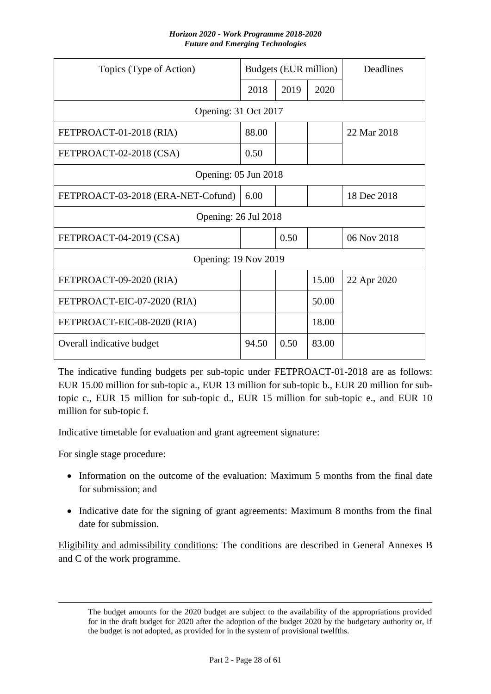| Topics (Type of Action)            |       | Budgets (EUR million) |       | Deadlines   |
|------------------------------------|-------|-----------------------|-------|-------------|
|                                    | 2018  | 2019                  | 2020  |             |
| Opening: 31 Oct 2017               |       |                       |       |             |
| FETPROACT-01-2018 (RIA)            | 88.00 |                       |       | 22 Mar 2018 |
| FETPROACT-02-2018 (CSA)            | 0.50  |                       |       |             |
| Opening: 05 Jun 2018               |       |                       |       |             |
| FETPROACT-03-2018 (ERA-NET-Cofund) | 6.00  |                       |       | 18 Dec 2018 |
| Opening: 26 Jul 2018               |       |                       |       |             |
| FETPROACT-04-2019 (CSA)            |       | 0.50                  |       | 06 Nov 2018 |
| <b>Opening: 19 Nov 2019</b>        |       |                       |       |             |
| FETPROACT-09-2020 (RIA)            |       |                       | 15.00 | 22 Apr 2020 |
| FETPROACT-EIC-07-2020 (RIA)        |       |                       | 50.00 |             |
| FETPROACT-EIC-08-2020 (RIA)        |       |                       | 18.00 |             |
| Overall indicative budget          | 94.50 | 0.50                  | 83.00 |             |

The indicative funding budgets per sub-topic under FETPROACT-01-2018 are as follows: EUR 15.00 million for sub-topic a., EUR 13 million for sub-topic b., EUR 20 million for subtopic c., EUR 15 million for sub-topic d., EUR 15 million for sub-topic e., and EUR 10 million for sub-topic f.

Indicative timetable for evaluation and grant agreement signature:

For single stage procedure:

 $\overline{a}$ 

- Information on the outcome of the evaluation: Maximum 5 months from the final date for submission; and
- Indicative date for the signing of grant agreements: Maximum 8 months from the final date for submission.

Eligibility and admissibility conditions: The conditions are described in General Annexes B and C of the work programme.

The budget amounts for the 2020 budget are subject to the availability of the appropriations provided for in the draft budget for 2020 after the adoption of the budget 2020 by the budgetary authority or, if the budget is not adopted, as provided for in the system of provisional twelfths.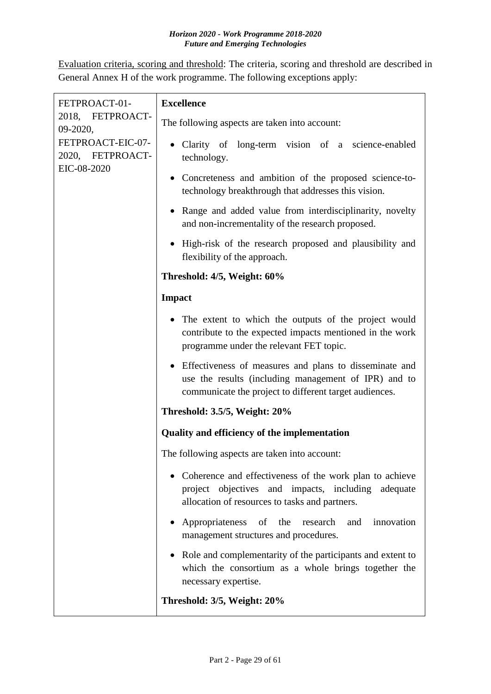Evaluation criteria, scoring and threshold: The criteria, scoring and threshold are described in General Annex H of the work programme. The following exceptions apply:

| FETPROACT-01-<br>2018, FETPROACT-<br>09-2020,<br>FETPROACT-EIC-07-<br>2020, FETPROACT- | <b>Excellence</b>                                                                                                                                                          |
|----------------------------------------------------------------------------------------|----------------------------------------------------------------------------------------------------------------------------------------------------------------------------|
|                                                                                        | The following aspects are taken into account:                                                                                                                              |
|                                                                                        | • Clarity of long-term vision of a science-enabled<br>technology.                                                                                                          |
| EIC-08-2020                                                                            | Concreteness and ambition of the proposed science-to-<br>technology breakthrough that addresses this vision.                                                               |
|                                                                                        | • Range and added value from interdisciplinarity, novelty<br>and non-incrementality of the research proposed.                                                              |
|                                                                                        | • High-risk of the research proposed and plausibility and<br>flexibility of the approach.                                                                                  |
|                                                                                        | Threshold: 4/5, Weight: 60%                                                                                                                                                |
|                                                                                        | <b>Impact</b>                                                                                                                                                              |
|                                                                                        | • The extent to which the outputs of the project would<br>contribute to the expected impacts mentioned in the work<br>programme under the relevant FET topic.              |
|                                                                                        | • Effectiveness of measures and plans to disseminate and<br>use the results (including management of IPR) and to<br>communicate the project to different target audiences. |
|                                                                                        | Threshold: 3.5/5, Weight: 20%                                                                                                                                              |
|                                                                                        | <b>Quality and efficiency of the implementation</b>                                                                                                                        |
|                                                                                        | The following aspects are taken into account:                                                                                                                              |
|                                                                                        | • Coherence and effectiveness of the work plan to achieve<br>project objectives and impacts, including adequate<br>allocation of resources to tasks and partners.          |
|                                                                                        | Appropriateness<br>of the<br>research<br>and<br>innovation<br>management structures and procedures.                                                                        |
|                                                                                        | • Role and complementarity of the participants and extent to<br>which the consortium as a whole brings together the<br>necessary expertise.                                |
|                                                                                        | Threshold: 3/5, Weight: 20%                                                                                                                                                |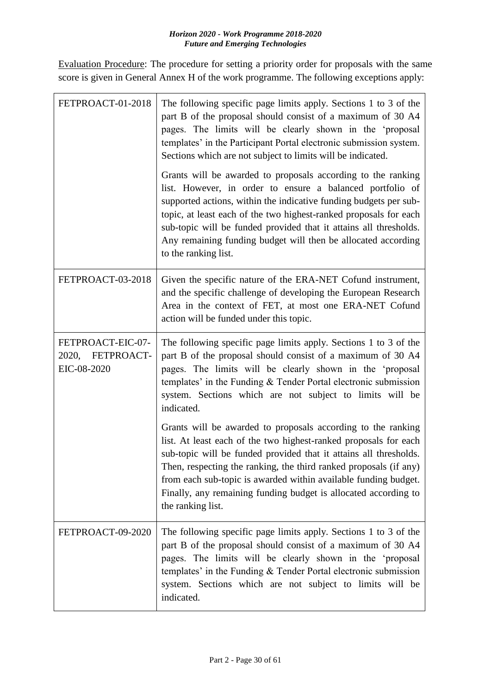Evaluation Procedure: The procedure for setting a priority order for proposals with the same score is given in General Annex H of the work programme. The following exceptions apply:

| FETPROACT-01-2018                                       | The following specific page limits apply. Sections 1 to 3 of the<br>part B of the proposal should consist of a maximum of 30 A4<br>pages. The limits will be clearly shown in the 'proposal<br>templates' in the Participant Portal electronic submission system.<br>Sections which are not subject to limits will be indicated.                                                                                                      |
|---------------------------------------------------------|---------------------------------------------------------------------------------------------------------------------------------------------------------------------------------------------------------------------------------------------------------------------------------------------------------------------------------------------------------------------------------------------------------------------------------------|
|                                                         | Grants will be awarded to proposals according to the ranking<br>list. However, in order to ensure a balanced portfolio of<br>supported actions, within the indicative funding budgets per sub-<br>topic, at least each of the two highest-ranked proposals for each<br>sub-topic will be funded provided that it attains all thresholds.<br>Any remaining funding budget will then be allocated according<br>to the ranking list.     |
| FETPROACT-03-2018                                       | Given the specific nature of the ERA-NET Cofund instrument,<br>and the specific challenge of developing the European Research<br>Area in the context of FET, at most one ERA-NET Cofund<br>action will be funded under this topic.                                                                                                                                                                                                    |
| FETPROACT-EIC-07-<br>FETPROACT-<br>2020,<br>EIC-08-2020 | The following specific page limits apply. Sections 1 to 3 of the<br>part B of the proposal should consist of a maximum of 30 A4<br>pages. The limits will be clearly shown in the 'proposal<br>templates' in the Funding & Tender Portal electronic submission<br>system. Sections which are not subject to limits will be<br>indicated.                                                                                              |
|                                                         | Grants will be awarded to proposals according to the ranking<br>list. At least each of the two highest-ranked proposals for each<br>sub-topic will be funded provided that it attains all thresholds.<br>Then, respecting the ranking, the third ranked proposals (if any)<br>from each sub-topic is awarded within available funding budget.<br>Finally, any remaining funding budget is allocated according to<br>the ranking list. |
| FETPROACT-09-2020                                       | The following specific page limits apply. Sections 1 to 3 of the<br>part B of the proposal should consist of a maximum of 30 A4<br>pages. The limits will be clearly shown in the 'proposal<br>templates' in the Funding $&$ Tender Portal electronic submission<br>system. Sections which are not subject to limits will be<br>indicated.                                                                                            |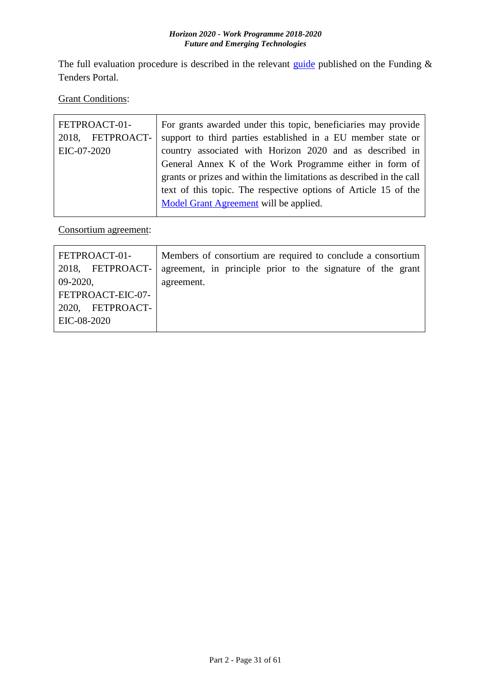The full evaluation procedure is described in the relevant [guide](http://ec.europa.eu/research/participants/docs/h2020-funding-guide/grants/applying-for-funding/submit-proposals_en.htm) published on the Funding  $\&$ Tenders Portal.

**Grant Conditions:** 

| FETPROACT-01-    | For grants awarded under this topic, beneficiaries may provide       |
|------------------|----------------------------------------------------------------------|
| 2018, FETPROACT- | support to third parties established in a EU member state or         |
| EIC-07-2020      | country associated with Horizon 2020 and as described in             |
|                  | General Annex K of the Work Programme either in form of              |
|                  | grants or prizes and within the limitations as described in the call |
|                  | text of this topic. The respective options of Article 15 of the      |
|                  | Model Grant Agreement will be applied.                               |
|                  |                                                                      |

Consortium agreement:

| Members of consortium are required to conclude a consortium |
|-------------------------------------------------------------|
| agreement, in principle prior to the signature of the grant |
| agreement.                                                  |
|                                                             |
|                                                             |
|                                                             |
|                                                             |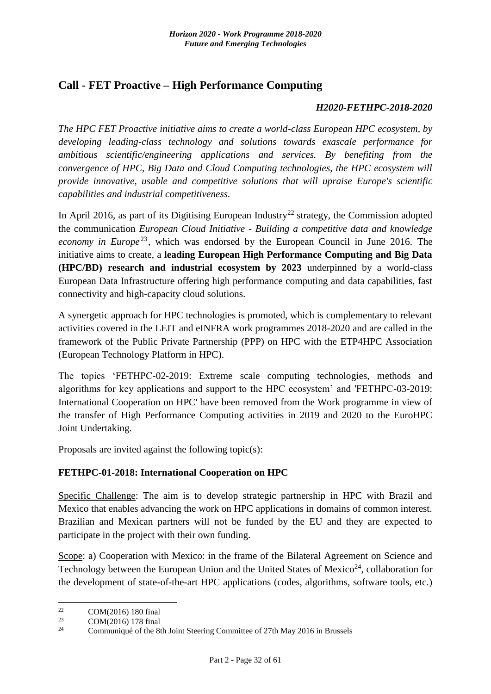# <span id="page-31-0"></span>**Call - FET Proactive – High Performance Computing**

#### *H2020-FETHPC-2018-2020*

*The HPC FET Proactive initiative aims to create a world-class European HPC ecosystem, by developing leading-class technology and solutions towards exascale performance for ambitious scientific/engineering applications and services. By benefiting from the convergence of HPC, Big Data and Cloud Computing technologies, the HPC ecosystem will provide innovative, usable and competitive solutions that will upraise Europe's scientific capabilities and industrial competitiveness.*

In April 2016, as part of its Digitising European Industry<sup>22</sup> strategy, the Commission adopted the communication *European Cloud Initiative - Building a competitive data and knowledge economy in Europe*<sup>23</sup>, which was endorsed by the European Council in June 2016. The initiative aims to create, a **leading European High Performance Computing and Big Data (HPC/BD) research and industrial ecosystem by 2023** underpinned by a world-class European Data Infrastructure offering high performance computing and data capabilities, fast connectivity and high-capacity cloud solutions.

A synergetic approach for HPC technologies is promoted, which is complementary to relevant activities covered in the LEIT and eINFRA work programmes 2018-2020 and are called in the framework of the Public Private Partnership (PPP) on HPC with the ETP4HPC Association (European Technology Platform in HPC).

The topics 'FETHPC-02-2019: Extreme scale computing technologies, methods and algorithms for key applications and support to the HPC ecosystem' and 'FETHPC-03-2019: International Cooperation on HPC' have been removed from the Work programme in view of the transfer of High Performance Computing activities in 2019 and 2020 to the EuroHPC Joint Undertaking.

Proposals are invited against the following topic(s):

### <span id="page-31-1"></span>**FETHPC-01-2018: International Cooperation on HPC**

Specific Challenge: The aim is to develop strategic partnership in HPC with Brazil and Mexico that enables advancing the work on HPC applications in domains of common interest. Brazilian and Mexican partners will not be funded by the EU and they are expected to participate in the project with their own funding.

Scope: a) Cooperation with Mexico: in the frame of the Bilateral Agreement on Science and Technology between the European Union and the United States of Mexico<sup>24</sup>, collaboration for the development of state-of-the-art HPC applications (codes, algorithms, software tools, etc.)

<sup>22</sup> <sup>22</sup> COM(2016) 180 final<br><sup>23</sup> COM(2016) 178 final

<sup>&</sup>lt;sup>23</sup> COM(2016) 178 final<br><sup>24</sup> Communicate of the <sup>24</sup>

Communiqué of the 8th Joint Steering Committee of 27th May 2016 in Brussels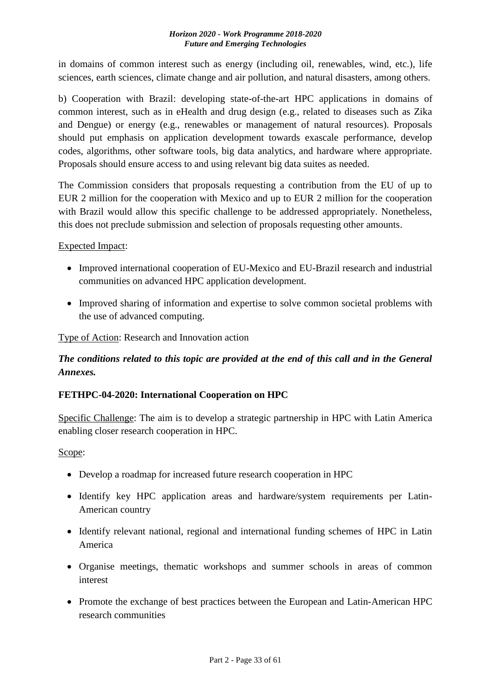in domains of common interest such as energy (including oil, renewables, wind, etc.), life sciences, earth sciences, climate change and air pollution, and natural disasters, among others.

b) Cooperation with Brazil: developing state-of-the-art HPC applications in domains of common interest, such as in eHealth and drug design (e.g., related to diseases such as Zika and Dengue) or energy (e.g., renewables or management of natural resources). Proposals should put emphasis on application development towards exascale performance, develop codes, algorithms, other software tools, big data analytics, and hardware where appropriate. Proposals should ensure access to and using relevant big data suites as needed.

The Commission considers that proposals requesting a contribution from the EU of up to EUR 2 million for the cooperation with Mexico and up to EUR 2 million for the cooperation with Brazil would allow this specific challenge to be addressed appropriately. Nonetheless, this does not preclude submission and selection of proposals requesting other amounts.

### Expected Impact:

- Improved international cooperation of EU-Mexico and EU-Brazil research and industrial communities on advanced HPC application development.
- Improved sharing of information and expertise to solve common societal problems with the use of advanced computing.

Type of Action: Research and Innovation action

# *The conditions related to this topic are provided at the end of this call and in the General Annexes.*

### <span id="page-32-0"></span>**FETHPC-04-2020: International Cooperation on HPC**

Specific Challenge: The aim is to develop a strategic partnership in HPC with Latin America enabling closer research cooperation in HPC.

### Scope:

- Develop a roadmap for increased future research cooperation in HPC
- Identify key HPC application areas and hardware/system requirements per Latin-American country
- Identify relevant national, regional and international funding schemes of HPC in Latin America
- Organise meetings, thematic workshops and summer schools in areas of common interest
- Promote the exchange of best practices between the European and Latin-American HPC research communities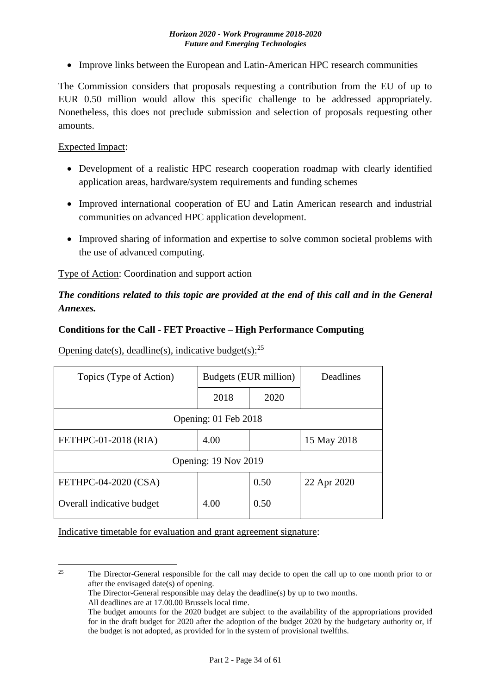• Improve links between the European and Latin-American HPC research communities

The Commission considers that proposals requesting a contribution from the EU of up to EUR 0.50 million would allow this specific challenge to be addressed appropriately. Nonetheless, this does not preclude submission and selection of proposals requesting other amounts.

#### Expected Impact:

- Development of a realistic HPC research cooperation roadmap with clearly identified application areas, hardware/system requirements and funding schemes
- Improved international cooperation of EU and Latin American research and industrial communities on advanced HPC application development.
- Improved sharing of information and expertise to solve common societal problems with the use of advanced computing.

Type of Action: Coordination and support action

### *The conditions related to this topic are provided at the end of this call and in the General Annexes.*

#### <span id="page-33-0"></span>**Conditions for the Call - FET Proactive – High Performance Computing**

Opening date(s), deadline(s), indicative budget(s): $^{25}$ 

| Topics (Type of Action)   | Budgets (EUR million) |      | Deadlines   |
|---------------------------|-----------------------|------|-------------|
|                           | 2018                  | 2020 |             |
|                           | Opening: 01 Feb 2018  |      |             |
| FETHPC-01-2018 (RIA)      | 4.00                  |      | 15 May 2018 |
|                           | Opening: 19 Nov 2019  |      |             |
| FETHPC-04-2020 (CSA)      |                       | 0.50 | 22 Apr 2020 |
| Overall indicative budget | 4.00                  | 0.50 |             |

Indicative timetable for evaluation and grant agreement signature:

 $25$ <sup>25</sup> The Director-General responsible for the call may decide to open the call up to one month prior to or after the envisaged date(s) of opening.

The Director-General responsible may delay the deadline(s) by up to two months.

All deadlines are at 17.00.00 Brussels local time.

The budget amounts for the 2020 budget are subject to the availability of the appropriations provided for in the draft budget for 2020 after the adoption of the budget 2020 by the budgetary authority or, if the budget is not adopted, as provided for in the system of provisional twelfths.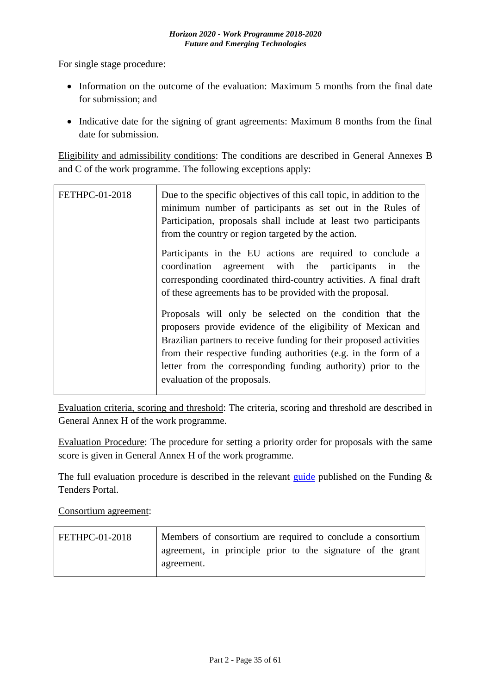For single stage procedure:

- Information on the outcome of the evaluation: Maximum 5 months from the final date for submission; and
- Indicative date for the signing of grant agreements: Maximum 8 months from the final date for submission.

Eligibility and admissibility conditions: The conditions are described in General Annexes B and C of the work programme. The following exceptions apply:

| <b>FETHPC-01-2018</b> | Due to the specific objectives of this call topic, in addition to the<br>minimum number of participants as set out in the Rules of<br>Participation, proposals shall include at least two participants<br>from the country or region targeted by the action.                                                                                                          |
|-----------------------|-----------------------------------------------------------------------------------------------------------------------------------------------------------------------------------------------------------------------------------------------------------------------------------------------------------------------------------------------------------------------|
|                       | Participants in the EU actions are required to conclude a<br>coordination<br>agreement with the participants in<br>the<br>corresponding coordinated third-country activities. A final draft<br>of these agreements has to be provided with the proposal.                                                                                                              |
|                       | Proposals will only be selected on the condition that the<br>proposers provide evidence of the eligibility of Mexican and<br>Brazilian partners to receive funding for their proposed activities<br>from their respective funding authorities (e.g. in the form of a<br>letter from the corresponding funding authority) prior to the<br>evaluation of the proposals. |

Evaluation criteria, scoring and threshold: The criteria, scoring and threshold are described in General Annex H of the work programme.

Evaluation Procedure: The procedure for setting a priority order for proposals with the same score is given in General Annex H of the work programme.

The full evaluation procedure is described in the relevant [guide](http://ec.europa.eu/research/participants/docs/h2020-funding-guide/grants/applying-for-funding/submit-proposals_en.htm) published on the Funding  $\&$ Tenders Portal.

Consortium agreement:

| FETHPC-01-2018 | Members of consortium are required to conclude a consortium |  |
|----------------|-------------------------------------------------------------|--|
|                | agreement, in principle prior to the signature of the grant |  |
|                | agreement.                                                  |  |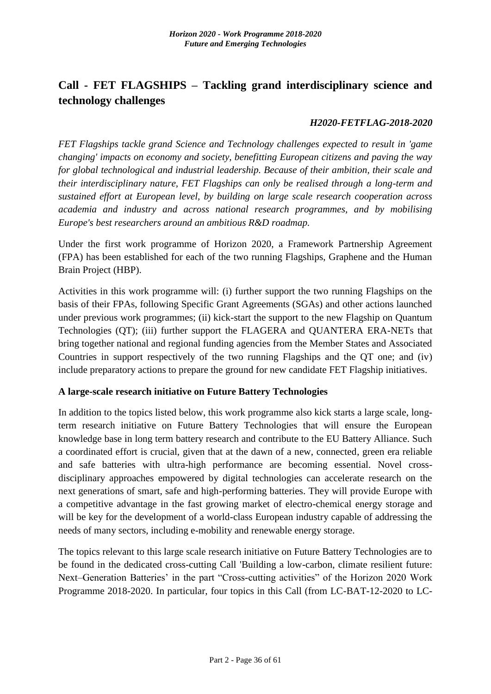# <span id="page-35-0"></span>**Call - FET FLAGSHIPS – Tackling grand interdisciplinary science and technology challenges**

#### *H2020-FETFLAG-2018-2020*

*FET Flagships tackle grand Science and Technology challenges expected to result in 'game changing' impacts on economy and society, benefitting European citizens and paving the way for global technological and industrial leadership. Because of their ambition, their scale and their interdisciplinary nature, FET Flagships can only be realised through a long-term and sustained effort at European level, by building on large scale research cooperation across academia and industry and across national research programmes, and by mobilising Europe's best researchers around an ambitious R&D roadmap.*

Under the first work programme of Horizon 2020, a Framework Partnership Agreement (FPA) has been established for each of the two running Flagships, Graphene and the Human Brain Project (HBP).

Activities in this work programme will: (i) further support the two running Flagships on the basis of their FPAs, following Specific Grant Agreements (SGAs) and other actions launched under previous work programmes; (ii) kick-start the support to the new Flagship on Quantum Technologies (QT); (iii) further support the FLAGERA and QUANTERA ERA-NETs that bring together national and regional funding agencies from the Member States and Associated Countries in support respectively of the two running Flagships and the QT one; and (iv) include preparatory actions to prepare the ground for new candidate FET Flagship initiatives.

### **A large-scale research initiative on Future Battery Technologies**

In addition to the topics listed below, this work programme also kick starts a large scale, longterm research initiative on Future Battery Technologies that will ensure the European knowledge base in long term battery research and contribute to the EU Battery Alliance. Such a coordinated effort is crucial, given that at the dawn of a new, connected, green era reliable and safe batteries with ultra-high performance are becoming essential. Novel crossdisciplinary approaches empowered by digital technologies can accelerate research on the next generations of smart, safe and high-performing batteries. They will provide Europe with a competitive advantage in the fast growing market of electro-chemical energy storage and will be key for the development of a world-class European industry capable of addressing the needs of many sectors, including e-mobility and renewable energy storage.

The topics relevant to this large scale research initiative on Future Battery Technologies are to be found in the dedicated cross-cutting Call 'Building a low-carbon, climate resilient future: Next–Generation Batteries' in the part "Cross-cutting activities" of the Horizon 2020 Work Programme 2018-2020. In particular, four topics in this Call (from LC-BAT-12-2020 to LC-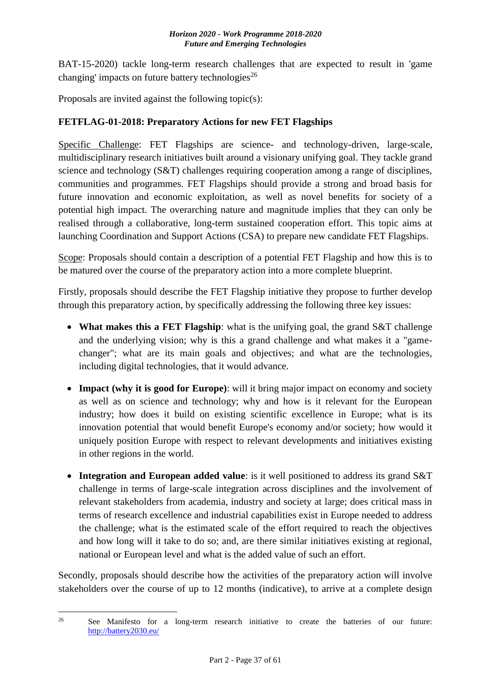BAT-15-2020) tackle long-term research challenges that are expected to result in 'game changing' impacts on future battery technologies<sup>26</sup>

Proposals are invited against the following topic(s):

### <span id="page-36-0"></span>**FETFLAG-01-2018: Preparatory Actions for new FET Flagships**

Specific Challenge: FET Flagships are science- and technology-driven, large-scale, multidisciplinary research initiatives built around a visionary unifying goal. They tackle grand science and technology (S&T) challenges requiring cooperation among a range of disciplines, communities and programmes. FET Flagships should provide a strong and broad basis for future innovation and economic exploitation, as well as novel benefits for society of a potential high impact. The overarching nature and magnitude implies that they can only be realised through a collaborative, long-term sustained cooperation effort. This topic aims at launching Coordination and Support Actions (CSA) to prepare new candidate FET Flagships.

Scope: Proposals should contain a description of a potential FET Flagship and how this is to be matured over the course of the preparatory action into a more complete blueprint.

Firstly, proposals should describe the FET Flagship initiative they propose to further develop through this preparatory action, by specifically addressing the following three key issues:

- **What makes this a FET Flagship**: what is the unifying goal, the grand S&T challenge and the underlying vision; why is this a grand challenge and what makes it a "gamechanger"; what are its main goals and objectives; and what are the technologies, including digital technologies, that it would advance.
- **Impact (why it is good for Europe)**: will it bring major impact on economy and society as well as on science and technology; why and how is it relevant for the European industry; how does it build on existing scientific excellence in Europe; what is its innovation potential that would benefit Europe's economy and/or society; how would it uniquely position Europe with respect to relevant developments and initiatives existing in other regions in the world.
- **Integration and European added value**: is it well positioned to address its grand S&T challenge in terms of large-scale integration across disciplines and the involvement of relevant stakeholders from academia, industry and society at large; does critical mass in terms of research excellence and industrial capabilities exist in Europe needed to address the challenge; what is the estimated scale of the effort required to reach the objectives and how long will it take to do so; and, are there similar initiatives existing at regional, national or European level and what is the added value of such an effort.

Secondly, proposals should describe how the activities of the preparatory action will involve stakeholders over the course of up to 12 months (indicative), to arrive at a complete design

<sup>1</sup> <sup>26</sup> See Manifesto for a long-term research initiative to create the batteries of our future: <http://battery2030.eu/>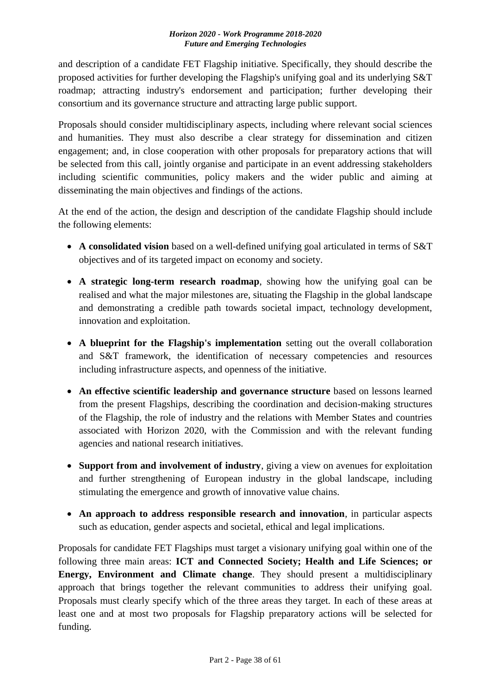and description of a candidate FET Flagship initiative. Specifically, they should describe the proposed activities for further developing the Flagship's unifying goal and its underlying S&T roadmap; attracting industry's endorsement and participation; further developing their consortium and its governance structure and attracting large public support.

Proposals should consider multidisciplinary aspects, including where relevant social sciences and humanities. They must also describe a clear strategy for dissemination and citizen engagement; and, in close cooperation with other proposals for preparatory actions that will be selected from this call, jointly organise and participate in an event addressing stakeholders including scientific communities, policy makers and the wider public and aiming at disseminating the main objectives and findings of the actions.

At the end of the action, the design and description of the candidate Flagship should include the following elements:

- **A consolidated vision** based on a well-defined unifying goal articulated in terms of S&T objectives and of its targeted impact on economy and society.
- **A strategic long-term research roadmap**, showing how the unifying goal can be realised and what the major milestones are, situating the Flagship in the global landscape and demonstrating a credible path towards societal impact, technology development, innovation and exploitation.
- **A blueprint for the Flagship's implementation** setting out the overall collaboration and S&T framework, the identification of necessary competencies and resources including infrastructure aspects, and openness of the initiative.
- **An effective scientific leadership and governance structure** based on lessons learned from the present Flagships, describing the coordination and decision-making structures of the Flagship, the role of industry and the relations with Member States and countries associated with Horizon 2020, with the Commission and with the relevant funding agencies and national research initiatives.
- **Support from and involvement of industry**, giving a view on avenues for exploitation and further strengthening of European industry in the global landscape, including stimulating the emergence and growth of innovative value chains.
- **An approach to address responsible research and innovation**, in particular aspects such as education, gender aspects and societal, ethical and legal implications.

Proposals for candidate FET Flagships must target a visionary unifying goal within one of the following three main areas: **ICT and Connected Society; Health and Life Sciences; or Energy, Environment and Climate change**. They should present a multidisciplinary approach that brings together the relevant communities to address their unifying goal. Proposals must clearly specify which of the three areas they target. In each of these areas at least one and at most two proposals for Flagship preparatory actions will be selected for funding.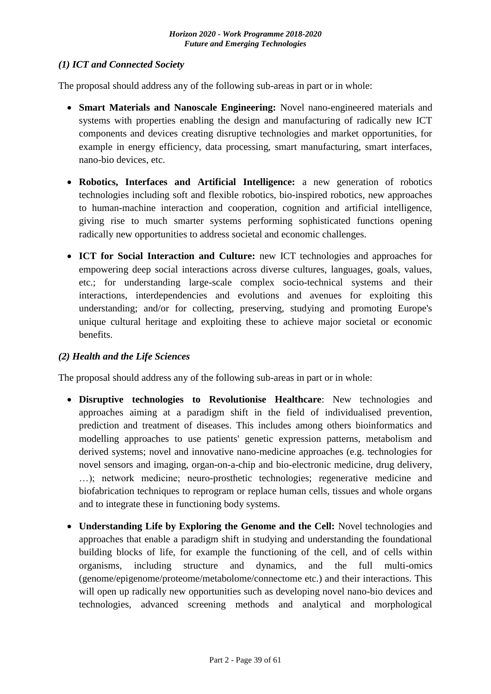#### *(1) ICT and Connected Society*

The proposal should address any of the following sub-areas in part or in whole:

- **Smart Materials and Nanoscale Engineering:** Novel nano-engineered materials and systems with properties enabling the design and manufacturing of radically new ICT components and devices creating disruptive technologies and market opportunities, for example in energy efficiency, data processing, smart manufacturing, smart interfaces, nano-bio devices, etc.
- **Robotics, Interfaces and Artificial Intelligence:** a new generation of robotics technologies including soft and flexible robotics, bio-inspired robotics, new approaches to human-machine interaction and cooperation, cognition and artificial intelligence, giving rise to much smarter systems performing sophisticated functions opening radically new opportunities to address societal and economic challenges.
- **ICT for Social Interaction and Culture:** new ICT technologies and approaches for empowering deep social interactions across diverse cultures, languages, goals, values, etc.; for understanding large-scale complex socio-technical systems and their interactions, interdependencies and evolutions and avenues for exploiting this understanding; and/or for collecting, preserving, studying and promoting Europe's unique cultural heritage and exploiting these to achieve major societal or economic benefits.

### *(2) Health and the Life Sciences*

The proposal should address any of the following sub-areas in part or in whole:

- **Disruptive technologies to Revolutionise Healthcare**: New technologies and approaches aiming at a paradigm shift in the field of individualised prevention, prediction and treatment of diseases. This includes among others bioinformatics and modelling approaches to use patients' genetic expression patterns, metabolism and derived systems; novel and innovative nano-medicine approaches (e.g. technologies for novel sensors and imaging, organ-on-a-chip and bio-electronic medicine, drug delivery, …); network medicine; neuro-prosthetic technologies; regenerative medicine and biofabrication techniques to reprogram or replace human cells, tissues and whole organs and to integrate these in functioning body systems.
- **Understanding Life by Exploring the Genome and the Cell:** Novel technologies and approaches that enable a paradigm shift in studying and understanding the foundational building blocks of life, for example the functioning of the cell, and of cells within organisms, including structure and dynamics, and the full multi-omics (genome/epigenome/proteome/metabolome/connectome etc.) and their interactions. This will open up radically new opportunities such as developing novel nano-bio devices and technologies, advanced screening methods and analytical and morphological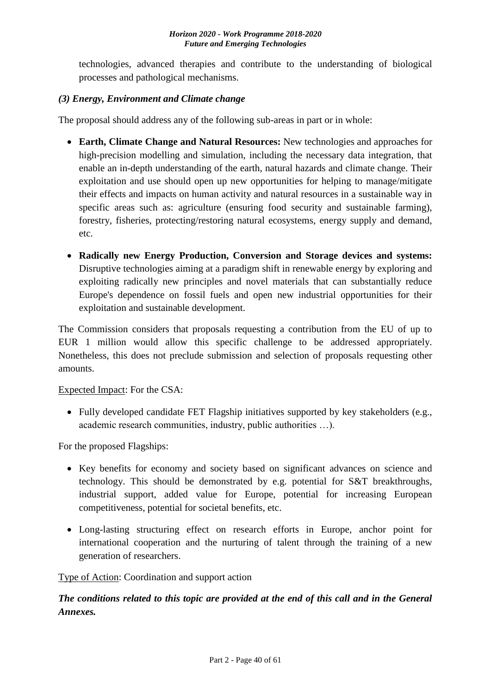technologies, advanced therapies and contribute to the understanding of biological processes and pathological mechanisms.

### *(3) Energy, Environment and Climate change*

The proposal should address any of the following sub-areas in part or in whole:

- **Earth, Climate Change and Natural Resources:** New technologies and approaches for high-precision modelling and simulation, including the necessary data integration, that enable an in-depth understanding of the earth, natural hazards and climate change. Their exploitation and use should open up new opportunities for helping to manage/mitigate their effects and impacts on human activity and natural resources in a sustainable way in specific areas such as: agriculture (ensuring food security and sustainable farming), forestry, fisheries, protecting/restoring natural ecosystems, energy supply and demand, etc.
- **Radically new Energy Production, Conversion and Storage devices and systems:**  Disruptive technologies aiming at a paradigm shift in renewable energy by exploring and exploiting radically new principles and novel materials that can substantially reduce Europe's dependence on fossil fuels and open new industrial opportunities for their exploitation and sustainable development.

The Commission considers that proposals requesting a contribution from the EU of up to EUR 1 million would allow this specific challenge to be addressed appropriately. Nonetheless, this does not preclude submission and selection of proposals requesting other amounts.

Expected Impact: For the CSA:

• Fully developed candidate FET Flagship initiatives supported by key stakeholders (e.g., academic research communities, industry, public authorities …).

For the proposed Flagships:

- Key benefits for economy and society based on significant advances on science and technology. This should be demonstrated by e.g. potential for S&T breakthroughs, industrial support, added value for Europe, potential for increasing European competitiveness, potential for societal benefits, etc.
- Long-lasting structuring effect on research efforts in Europe, anchor point for international cooperation and the nurturing of talent through the training of a new generation of researchers.

Type of Action: Coordination and support action

*The conditions related to this topic are provided at the end of this call and in the General Annexes.*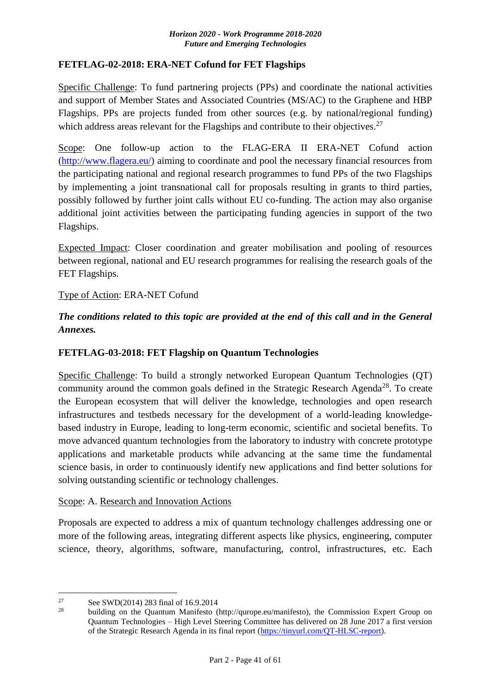#### <span id="page-40-0"></span>**FETFLAG-02-2018: ERA-NET Cofund for FET Flagships**

Specific Challenge: To fund partnering projects (PPs) and coordinate the national activities and support of Member States and Associated Countries (MS/AC) to the Graphene and HBP Flagships. PPs are projects funded from other sources (e.g. by national/regional funding) which address areas relevant for the Flagships and contribute to their objectives.<sup>27</sup>

Scope: One follow-up action to the FLAG-ERA II ERA-NET Cofund action [\(http://www.flagera.eu/\)](http://www.flagera.eu/) aiming to coordinate and pool the necessary financial resources from the participating national and regional research programmes to fund PPs of the two Flagships by implementing a joint transnational call for proposals resulting in grants to third parties, possibly followed by further joint calls without EU co-funding. The action may also organise additional joint activities between the participating funding agencies in support of the two Flagships.

Expected Impact: Closer coordination and greater mobilisation and pooling of resources between regional, national and EU research programmes for realising the research goals of the FET Flagships.

#### Type of Action: ERA-NET Cofund

*The conditions related to this topic are provided at the end of this call and in the General Annexes.*

### <span id="page-40-1"></span>**FETFLAG-03-2018: FET Flagship on Quantum Technologies**

Specific Challenge: To build a strongly networked European Quantum Technologies (QT) community around the common goals defined in the Strategic Research Agenda<sup>28</sup>. To create the European ecosystem that will deliver the knowledge, technologies and open research infrastructures and testbeds necessary for the development of a world-leading knowledgebased industry in Europe, leading to long-term economic, scientific and societal benefits. To move advanced quantum technologies from the laboratory to industry with concrete prototype applications and marketable products while advancing at the same time the fundamental science basis, in order to continuously identify new applications and find better solutions for solving outstanding scientific or technology challenges.

#### Scope: A. Research and Innovation Actions

Proposals are expected to address a mix of quantum technology challenges addressing one or more of the following areas, integrating different aspects like physics, engineering, computer science, theory, algorithms, software, manufacturing, control, infrastructures, etc. Each

<u>.</u>

building on the Quantum Manifesto (http://qurope.eu/manifesto), the Commission Expert Group on Quantum Technologies – High Level Steering Committee has delivered on 28 June 2017 a first version of the Strategic Research Agenda in its final report [\(https://tinyurl.com/QT-HLSC-report\)](https://tinyurl.com/QT-HLSC-report).

<sup>&</sup>lt;sup>27</sup> See SWD(2014) 283 final of 16.9.2014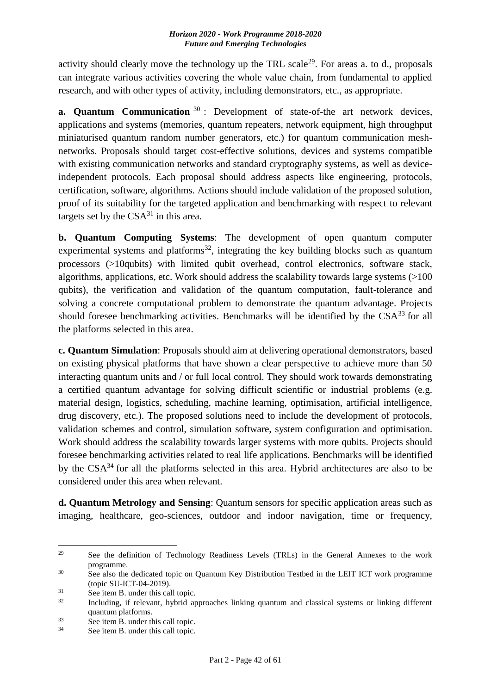activity should clearly move the technology up the TRL scale<sup>29</sup>. For areas a. to d., proposals can integrate various activities covering the whole value chain, from fundamental to applied research, and with other types of activity, including demonstrators, etc., as appropriate.

**a. Quantum Communication** <sup>30</sup>: Development of state-of-the art network devices, applications and systems (memories, quantum repeaters, network equipment, high throughput miniaturised quantum random number generators, etc.) for quantum communication meshnetworks. Proposals should target cost-effective solutions, devices and systems compatible with existing communication networks and standard cryptography systems, as well as deviceindependent protocols. Each proposal should address aspects like engineering, protocols, certification, software, algorithms. Actions should include validation of the proposed solution, proof of its suitability for the targeted application and benchmarking with respect to relevant targets set by the  $CSA^{31}$  in this area.

**b. Quantum Computing Systems**: The development of open quantum computer experimental systems and platforms<sup>32</sup>, integrating the key building blocks such as quantum processors (>10qubits) with limited qubit overhead, control electronics, software stack, algorithms, applications, etc. Work should address the scalability towards large systems (>100 qubits), the verification and validation of the quantum computation, fault-tolerance and solving a concrete computational problem to demonstrate the quantum advantage. Projects should foresee benchmarking activities. Benchmarks will be identified by the  $CSA<sup>33</sup>$  for all the platforms selected in this area.

**c. Quantum Simulation**: Proposals should aim at delivering operational demonstrators, based on existing physical platforms that have shown a clear perspective to achieve more than 50 interacting quantum units and / or full local control. They should work towards demonstrating a certified quantum advantage for solving difficult scientific or industrial problems (e.g. material design, logistics, scheduling, machine learning, optimisation, artificial intelligence, drug discovery, etc.). The proposed solutions need to include the development of protocols, validation schemes and control, simulation software, system configuration and optimisation. Work should address the scalability towards larger systems with more qubits. Projects should foresee benchmarking activities related to real life applications. Benchmarks will be identified by the CSA<sup>34</sup> for all the platforms selected in this area. Hybrid architectures are also to be considered under this area when relevant.

**d. Quantum Metrology and Sensing**: Quantum sensors for specific application areas such as imaging, healthcare, geo-sciences, outdoor and indoor navigation, time or frequency,

<sup>29</sup> <sup>29</sup> See the definition of Technology Readiness Levels (TRLs) in the General Annexes to the work programme.

<sup>&</sup>lt;sup>30</sup> See also the dedicated topic on Quantum Key Distribution Testbed in the LEIT ICT work programme (topic SU-ICT-04-2019).

 $31$  See item B. under this call topic.<br> $32$  Including if relevant hybrid at

Including, if relevant, hybrid approaches linking quantum and classical systems or linking different quantum platforms.

 $\frac{33}{34}$  See item B. under this call topic.

See item B. under this call topic.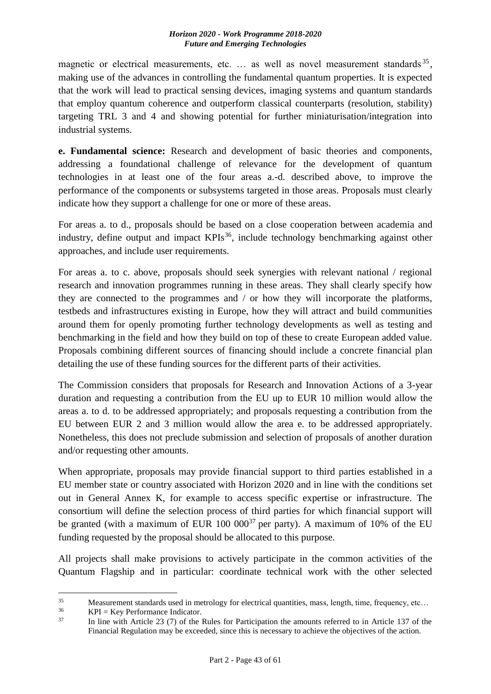magnetic or electrical measurements, etc. ... as well as novel measurement standards<sup>35</sup>, making use of the advances in controlling the fundamental quantum properties. It is expected that the work will lead to practical sensing devices, imaging systems and quantum standards that employ quantum coherence and outperform classical counterparts (resolution, stability) targeting TRL 3 and 4 and showing potential for further miniaturisation/integration into industrial systems.

**e. Fundamental science:** Research and development of basic theories and components, addressing a foundational challenge of relevance for the development of quantum technologies in at least one of the four areas a.-d. described above, to improve the performance of the components or subsystems targeted in those areas. Proposals must clearly indicate how they support a challenge for one or more of these areas.

For areas a. to d., proposals should be based on a close cooperation between academia and industry, define output and impact  $KPIs<sup>36</sup>$ , include technology benchmarking against other approaches, and include user requirements.

For areas a. to c. above, proposals should seek synergies with relevant national / regional research and innovation programmes running in these areas. They shall clearly specify how they are connected to the programmes and / or how they will incorporate the platforms, testbeds and infrastructures existing in Europe, how they will attract and build communities around them for openly promoting further technology developments as well as testing and benchmarking in the field and how they build on top of these to create European added value. Proposals combining different sources of financing should include a concrete financial plan detailing the use of these funding sources for the different parts of their activities.

The Commission considers that proposals for Research and Innovation Actions of a 3-year duration and requesting a contribution from the EU up to EUR 10 million would allow the areas a. to d. to be addressed appropriately; and proposals requesting a contribution from the EU between EUR 2 and 3 million would allow the area e. to be addressed appropriately. Nonetheless, this does not preclude submission and selection of proposals of another duration and/or requesting other amounts.

When appropriate, proposals may provide financial support to third parties established in a EU member state or country associated with Horizon 2020 and in line with the conditions set out in General Annex K, for example to access specific expertise or infrastructure. The consortium will define the selection process of third parties for which financial support will be granted (with a maximum of EUR  $100\ 000^{37}$  per party). A maximum of 10% of the EU funding requested by the proposal should be allocated to this purpose.

All projects shall make provisions to actively participate in the common activities of the Quantum Flagship and in particular: coordinate technical work with the other selected

<u>.</u>

<sup>35</sup> Measurement standards used in metrology for electrical quantities, mass, length, time, frequency, etc...<br> $VPI - K_{2V}$  Parformance Indicator

<sup>&</sup>lt;sup>36</sup> KPI = Key Performance Indicator.<br><sup>37</sup> In line with Article 23 (7) of the

In line with Article 23 (7) of the Rules for Participation the amounts referred to in Article 137 of the Financial Regulation may be exceeded, since this is necessary to achieve the objectives of the action.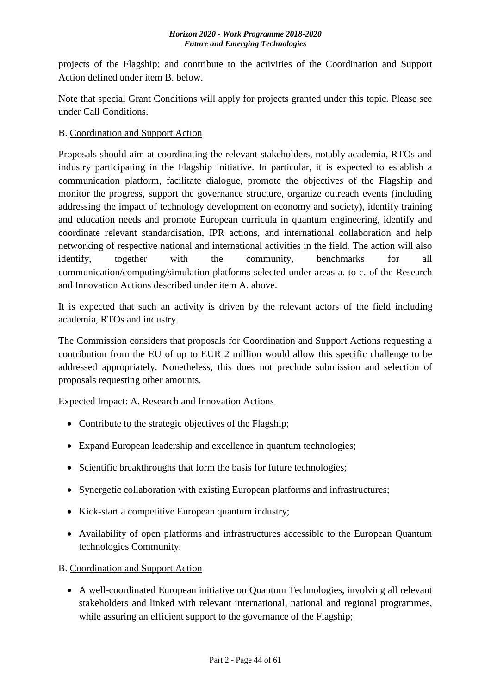projects of the Flagship; and contribute to the activities of the Coordination and Support Action defined under item B. below.

Note that special Grant Conditions will apply for projects granted under this topic. Please see under Call Conditions.

### B. Coordination and Support Action

Proposals should aim at coordinating the relevant stakeholders, notably academia, RTOs and industry participating in the Flagship initiative. In particular, it is expected to establish a communication platform, facilitate dialogue, promote the objectives of the Flagship and monitor the progress, support the governance structure, organize outreach events (including addressing the impact of technology development on economy and society), identify training and education needs and promote European curricula in quantum engineering, identify and coordinate relevant standardisation, IPR actions, and international collaboration and help networking of respective national and international activities in the field. The action will also identify, together with the community, benchmarks for all communication/computing/simulation platforms selected under areas a. to c. of the Research and Innovation Actions described under item A. above.

It is expected that such an activity is driven by the relevant actors of the field including academia, RTOs and industry.

The Commission considers that proposals for Coordination and Support Actions requesting a contribution from the EU of up to EUR 2 million would allow this specific challenge to be addressed appropriately. Nonetheless, this does not preclude submission and selection of proposals requesting other amounts.

### Expected Impact: A. Research and Innovation Actions

- Contribute to the strategic objectives of the Flagship;
- Expand European leadership and excellence in quantum technologies;
- Scientific breakthroughs that form the basis for future technologies;
- Synergetic collaboration with existing European platforms and infrastructures;
- Kick-start a competitive European quantum industry;
- Availability of open platforms and infrastructures accessible to the European Quantum technologies Community.

B. Coordination and Support Action

 A well-coordinated European initiative on Quantum Technologies, involving all relevant stakeholders and linked with relevant international, national and regional programmes, while assuring an efficient support to the governance of the Flagship;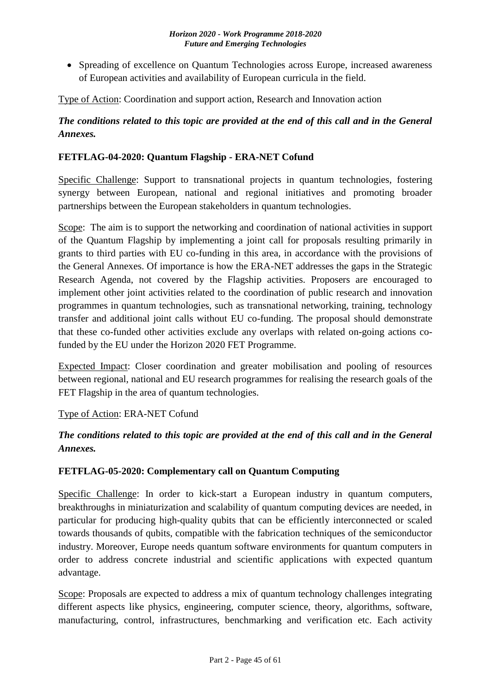• Spreading of excellence on Quantum Technologies across Europe, increased awareness of European activities and availability of European curricula in the field.

Type of Action: Coordination and support action, Research and Innovation action

# *The conditions related to this topic are provided at the end of this call and in the General Annexes.*

### <span id="page-44-0"></span>**FETFLAG-04-2020: Quantum Flagship - ERA-NET Cofund**

Specific Challenge: Support to transnational projects in quantum technologies, fostering synergy between European, national and regional initiatives and promoting broader partnerships between the European stakeholders in quantum technologies.

Scope: The aim is to support the networking and coordination of national activities in support of the Quantum Flagship by implementing a joint call for proposals resulting primarily in grants to third parties with EU co-funding in this area, in accordance with the provisions of the General Annexes. Of importance is how the ERA-NET addresses the gaps in the Strategic Research Agenda, not covered by the Flagship activities. Proposers are encouraged to implement other joint activities related to the coordination of public research and innovation programmes in quantum technologies, such as transnational networking, training, technology transfer and additional joint calls without EU co-funding. The proposal should demonstrate that these co-funded other activities exclude any overlaps with related on-going actions cofunded by the EU under the Horizon 2020 FET Programme.

Expected Impact: Closer coordination and greater mobilisation and pooling of resources between regional, national and EU research programmes for realising the research goals of the FET Flagship in the area of quantum technologies.

### Type of Action: ERA-NET Cofund

# *The conditions related to this topic are provided at the end of this call and in the General Annexes.*

### <span id="page-44-1"></span>**FETFLAG-05-2020: Complementary call on Quantum Computing**

Specific Challenge: In order to kick-start a European industry in quantum computers, breakthroughs in miniaturization and scalability of quantum computing devices are needed, in particular for producing high-quality qubits that can be efficiently interconnected or scaled towards thousands of qubits, compatible with the fabrication techniques of the semiconductor industry. Moreover, Europe needs quantum software environments for quantum computers in order to address concrete industrial and scientific applications with expected quantum advantage.

Scope: Proposals are expected to address a mix of quantum technology challenges integrating different aspects like physics, engineering, computer science, theory, algorithms, software, manufacturing, control, infrastructures, benchmarking and verification etc. Each activity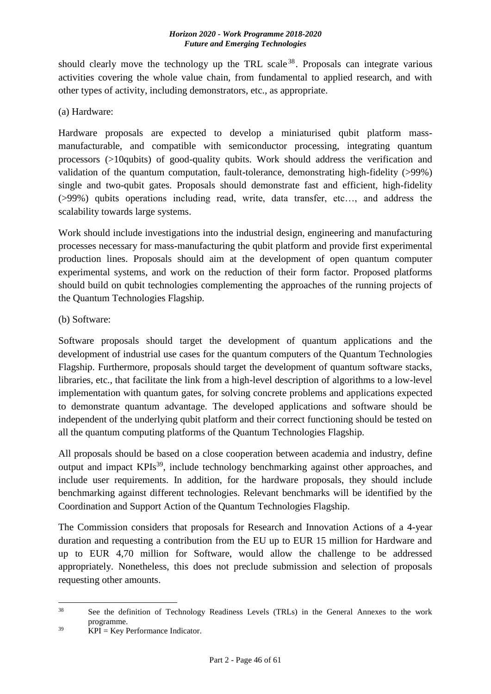should clearly move the technology up the TRL scale  $38$ . Proposals can integrate various activities covering the whole value chain, from fundamental to applied research, and with other types of activity, including demonstrators, etc., as appropriate.

(a) Hardware:

Hardware proposals are expected to develop a miniaturised qubit platform massmanufacturable, and compatible with semiconductor processing, integrating quantum processors (>10qubits) of good-quality qubits. Work should address the verification and validation of the quantum computation, fault-tolerance, demonstrating high-fidelity (>99%) single and two-qubit gates. Proposals should demonstrate fast and efficient, high-fidelity (>99%) qubits operations including read, write, data transfer, etc…, and address the scalability towards large systems.

Work should include investigations into the industrial design, engineering and manufacturing processes necessary for mass-manufacturing the qubit platform and provide first experimental production lines. Proposals should aim at the development of open quantum computer experimental systems, and work on the reduction of their form factor. Proposed platforms should build on qubit technologies complementing the approaches of the running projects of the Quantum Technologies Flagship.

(b) Software:

Software proposals should target the development of quantum applications and the development of industrial use cases for the quantum computers of the Quantum Technologies Flagship. Furthermore, proposals should target the development of quantum software stacks, libraries, etc., that facilitate the link from a high-level description of algorithms to a low-level implementation with quantum gates, for solving concrete problems and applications expected to demonstrate quantum advantage. The developed applications and software should be independent of the underlying qubit platform and their correct functioning should be tested on all the quantum computing platforms of the Quantum Technologies Flagship.

All proposals should be based on a close cooperation between academia and industry, define output and impact KPIs<sup>39</sup>, include technology benchmarking against other approaches, and include user requirements. In addition, for the hardware proposals, they should include benchmarking against different technologies. Relevant benchmarks will be identified by the Coordination and Support Action of the Quantum Technologies Flagship.

The Commission considers that proposals for Research and Innovation Actions of a 4-year duration and requesting a contribution from the EU up to EUR 15 million for Hardware and up to EUR 4,70 million for Software, would allow the challenge to be addressed appropriately. Nonetheless, this does not preclude submission and selection of proposals requesting other amounts.

1

<sup>&</sup>lt;sup>38</sup> See the definition of Technology Readiness Levels (TRLs) in the General Annexes to the work programme.

 $^{39}$  KPI = Key Performance Indicator.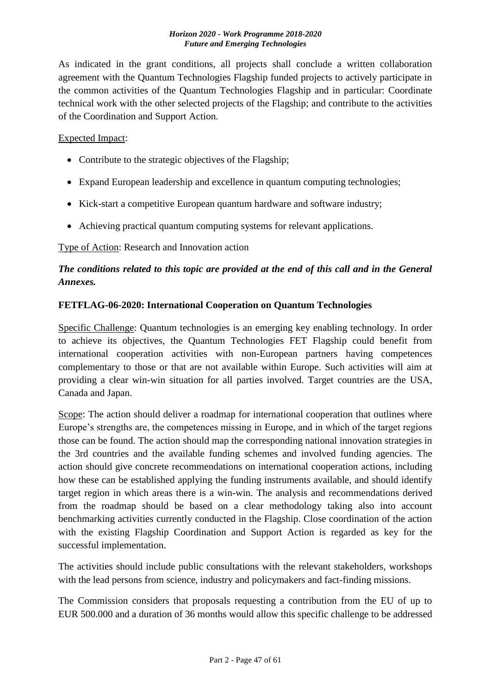As indicated in the grant conditions, all projects shall conclude a written collaboration agreement with the Quantum Technologies Flagship funded projects to actively participate in the common activities of the Quantum Technologies Flagship and in particular: Coordinate technical work with the other selected projects of the Flagship; and contribute to the activities of the Coordination and Support Action.

#### Expected Impact:

- Contribute to the strategic objectives of the Flagship;
- Expand European leadership and excellence in quantum computing technologies;
- Kick-start a competitive European quantum hardware and software industry;
- Achieving practical quantum computing systems for relevant applications.

Type of Action: Research and Innovation action

# *The conditions related to this topic are provided at the end of this call and in the General Annexes.*

#### <span id="page-46-0"></span>**FETFLAG-06-2020: International Cooperation on Quantum Technologies**

Specific Challenge: Quantum technologies is an emerging key enabling technology. In order to achieve its objectives, the Quantum Technologies FET Flagship could benefit from international cooperation activities with non-European partners having competences complementary to those or that are not available within Europe. Such activities will aim at providing a clear win-win situation for all parties involved. Target countries are the USA, Canada and Japan.

Scope: The action should deliver a roadmap for international cooperation that outlines where Europe's strengths are, the competences missing in Europe, and in which of the target regions those can be found. The action should map the corresponding national innovation strategies in the 3rd countries and the available funding schemes and involved funding agencies. The action should give concrete recommendations on international cooperation actions, including how these can be established applying the funding instruments available, and should identify target region in which areas there is a win-win. The analysis and recommendations derived from the roadmap should be based on a clear methodology taking also into account benchmarking activities currently conducted in the Flagship. Close coordination of the action with the existing Flagship Coordination and Support Action is regarded as key for the successful implementation.

The activities should include public consultations with the relevant stakeholders, workshops with the lead persons from science, industry and policymakers and fact-finding missions.

The Commission considers that proposals requesting a contribution from the EU of up to EUR 500.000 and a duration of 36 months would allow this specific challenge to be addressed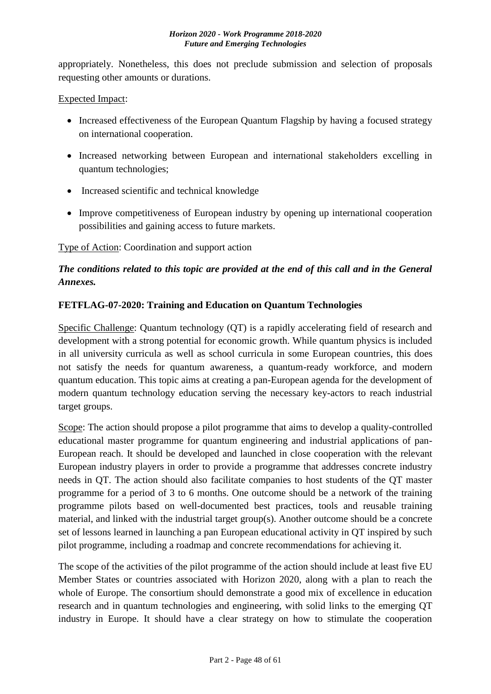appropriately. Nonetheless, this does not preclude submission and selection of proposals requesting other amounts or durations.

#### Expected Impact:

- Increased effectiveness of the European Quantum Flagship by having a focused strategy on international cooperation.
- Increased networking between European and international stakeholders excelling in quantum technologies;
- Increased scientific and technical knowledge
- Improve competitiveness of European industry by opening up international cooperation possibilities and gaining access to future markets.

Type of Action: Coordination and support action

# *The conditions related to this topic are provided at the end of this call and in the General Annexes.*

#### <span id="page-47-0"></span>**FETFLAG-07-2020: Training and Education on Quantum Technologies**

Specific Challenge: Quantum technology (QT) is a rapidly accelerating field of research and development with a strong potential for economic growth. While quantum physics is included in all university curricula as well as school curricula in some European countries, this does not satisfy the needs for quantum awareness, a quantum-ready workforce, and modern quantum education. This topic aims at creating a pan-European agenda for the development of modern quantum technology education serving the necessary key-actors to reach industrial target groups.

Scope: The action should propose a pilot programme that aims to develop a quality-controlled educational master programme for quantum engineering and industrial applications of pan-European reach. It should be developed and launched in close cooperation with the relevant European industry players in order to provide a programme that addresses concrete industry needs in QT. The action should also facilitate companies to host students of the QT master programme for a period of 3 to 6 months. One outcome should be a network of the training programme pilots based on well-documented best practices, tools and reusable training material, and linked with the industrial target group(s). Another outcome should be a concrete set of lessons learned in launching a pan European educational activity in QT inspired by such pilot programme, including a roadmap and concrete recommendations for achieving it.

The scope of the activities of the pilot programme of the action should include at least five EU Member States or countries associated with Horizon 2020, along with a plan to reach the whole of Europe. The consortium should demonstrate a good mix of excellence in education research and in quantum technologies and engineering, with solid links to the emerging QT industry in Europe. It should have a clear strategy on how to stimulate the cooperation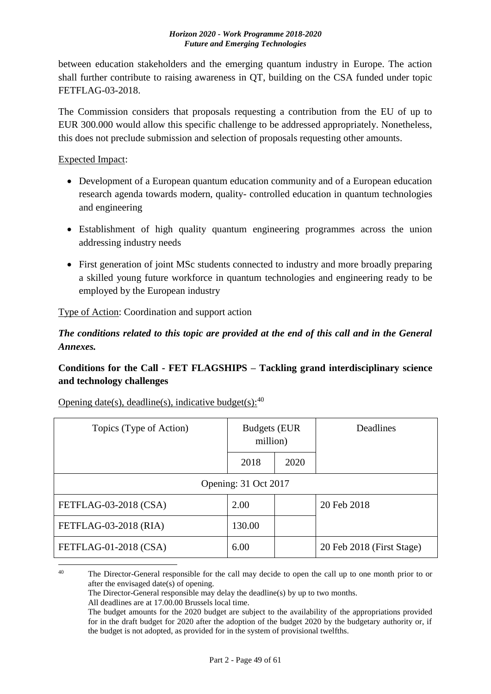between education stakeholders and the emerging quantum industry in Europe. The action shall further contribute to raising awareness in QT, building on the CSA funded under topic FETFLAG-03-2018.

The Commission considers that proposals requesting a contribution from the EU of up to EUR 300.000 would allow this specific challenge to be addressed appropriately. Nonetheless, this does not preclude submission and selection of proposals requesting other amounts.

Expected Impact:

- Development of a European quantum education community and of a European education research agenda towards modern, quality- controlled education in quantum technologies and engineering
- Establishment of high quality quantum engineering programmes across the union addressing industry needs
- First generation of joint MSc students connected to industry and more broadly preparing a skilled young future workforce in quantum technologies and engineering ready to be employed by the European industry

Type of Action: Coordination and support action

*The conditions related to this topic are provided at the end of this call and in the General Annexes.*

# <span id="page-48-0"></span>**Conditions for the Call - FET FLAGSHIPS – Tackling grand interdisciplinary science and technology challenges**

| Topics (Type of Action) | <b>Budgets (EUR</b><br>million) |      | Deadlines                 |
|-------------------------|---------------------------------|------|---------------------------|
|                         | 2018                            | 2020 |                           |
|                         | Opening: 31 Oct 2017            |      |                           |
| FETFLAG-03-2018 (CSA)   | 2.00                            |      | 20 Feb 2018               |
| FETFLAG-03-2018 (RIA)   | 130.00                          |      |                           |
| FETFLAG-01-2018 (CSA)   | 6.00                            |      | 20 Feb 2018 (First Stage) |
|                         |                                 |      |                           |

Opening date(s), deadline(s), indicative budget(s):  $40$ 

<sup>&</sup>lt;sup>40</sup> The Director-General responsible for the call may decide to open the call up to one month prior to or after the envisaged date(s) of opening.

The Director-General responsible may delay the deadline(s) by up to two months.

All deadlines are at 17.00.00 Brussels local time.

The budget amounts for the 2020 budget are subject to the availability of the appropriations provided for in the draft budget for 2020 after the adoption of the budget 2020 by the budgetary authority or, if the budget is not adopted, as provided for in the system of provisional twelfths.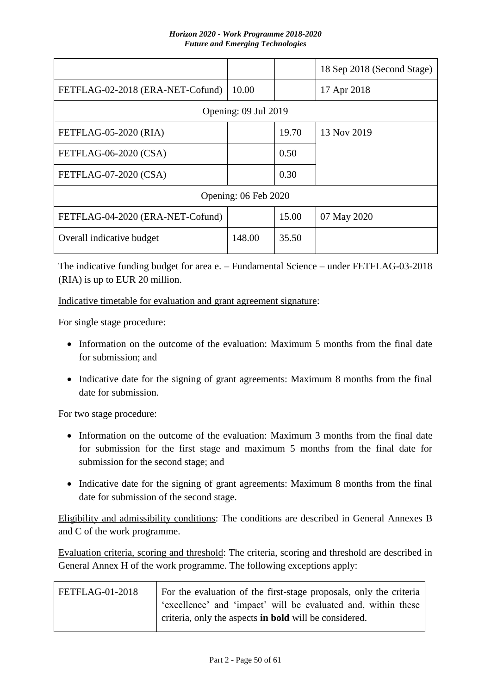|                                  |                      |       | 18 Sep 2018 (Second Stage) |
|----------------------------------|----------------------|-------|----------------------------|
| FETFLAG-02-2018 (ERA-NET-Cofund) | 10.00                |       | 17 Apr 2018                |
|                                  | Opening: 09 Jul 2019 |       |                            |
| FETFLAG-05-2020 (RIA)            |                      | 19.70 | 13 Nov 2019                |
| FETFLAG-06-2020 (CSA)            |                      | 0.50  |                            |
| FETFLAG-07-2020 (CSA)            |                      | 0.30  |                            |
|                                  | Opening: 06 Feb 2020 |       |                            |
| FETFLAG-04-2020 (ERA-NET-Cofund) |                      | 15.00 | 07 May 2020                |
| Overall indicative budget        | 148.00               | 35.50 |                            |

The indicative funding budget for area e. – Fundamental Science – under FETFLAG-03-2018 (RIA) is up to EUR 20 million.

Indicative timetable for evaluation and grant agreement signature:

For single stage procedure:

- Information on the outcome of the evaluation: Maximum 5 months from the final date for submission; and
- Indicative date for the signing of grant agreements: Maximum 8 months from the final date for submission.

For two stage procedure:

- Information on the outcome of the evaluation: Maximum 3 months from the final date for submission for the first stage and maximum 5 months from the final date for submission for the second stage; and
- Indicative date for the signing of grant agreements: Maximum 8 months from the final date for submission of the second stage.

Eligibility and admissibility conditions: The conditions are described in General Annexes B and C of the work programme.

Evaluation criteria, scoring and threshold: The criteria, scoring and threshold are described in General Annex H of the work programme. The following exceptions apply:

| FETFLAG-01-2018 | For the evaluation of the first-stage proposals, only the criteria |
|-----------------|--------------------------------------------------------------------|
|                 | 'excellence' and 'impact' will be evaluated and, within these      |
|                 | criteria, only the aspects in bold will be considered.             |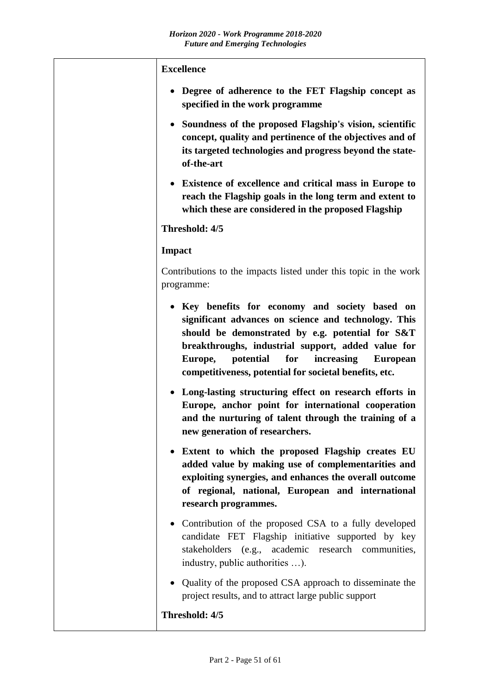| <b>Excellence</b>                                                                                                                                                                                                                                                                                                                           |
|---------------------------------------------------------------------------------------------------------------------------------------------------------------------------------------------------------------------------------------------------------------------------------------------------------------------------------------------|
| • Degree of adherence to the FET Flagship concept as<br>specified in the work programme                                                                                                                                                                                                                                                     |
| • Soundness of the proposed Flagship's vision, scientific<br>concept, quality and pertinence of the objectives and of<br>its targeted technologies and progress beyond the state-<br>of-the-art                                                                                                                                             |
| • Existence of excellence and critical mass in Europe to<br>reach the Flagship goals in the long term and extent to<br>which these are considered in the proposed Flagship                                                                                                                                                                  |
| Threshold: 4/5                                                                                                                                                                                                                                                                                                                              |
| <b>Impact</b>                                                                                                                                                                                                                                                                                                                               |
| Contributions to the impacts listed under this topic in the work<br>programme:                                                                                                                                                                                                                                                              |
| • Key benefits for economy and society based on<br>significant advances on science and technology. This<br>should be demonstrated by e.g. potential for S&T<br>breakthroughs, industrial support, added value for<br>potential<br>for<br>Europe,<br>increasing<br><b>European</b><br>competitiveness, potential for societal benefits, etc. |
| • Long-lasting structuring effect on research efforts in<br>Europe, anchor point for international cooperation<br>and the nurturing of talent through the training of a<br>new generation of researchers.                                                                                                                                   |
| Extent to which the proposed Flagship creates EU<br>added value by making use of complementarities and<br>exploiting synergies, and enhances the overall outcome<br>of regional, national, European and international<br>research programmes.                                                                                               |
| • Contribution of the proposed CSA to a fully developed<br>candidate FET Flagship initiative supported by key<br>stakeholders (e.g., academic research communities,<br>industry, public authorities ).                                                                                                                                      |
| • Quality of the proposed CSA approach to disseminate the<br>project results, and to attract large public support                                                                                                                                                                                                                           |
| Threshold: 4/5                                                                                                                                                                                                                                                                                                                              |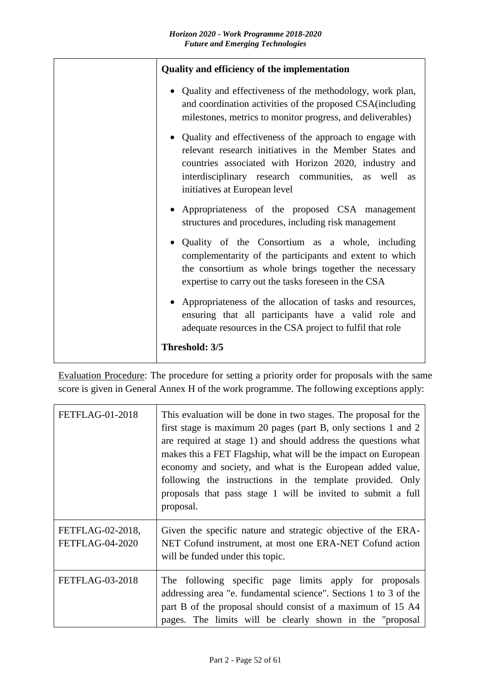| Quality and efficiency of the implementation                                                                                                                                                                                                                      |  |  |  |  |
|-------------------------------------------------------------------------------------------------------------------------------------------------------------------------------------------------------------------------------------------------------------------|--|--|--|--|
| • Quality and effectiveness of the methodology, work plan,<br>and coordination activities of the proposed CSA(including<br>milestones, metrics to monitor progress, and deliverables)                                                                             |  |  |  |  |
| Quality and effectiveness of the approach to engage with<br>relevant research initiatives in the Member States and<br>countries associated with Horizon 2020, industry and<br>interdisciplinary research communities, as well as<br>initiatives at European level |  |  |  |  |
| • Appropriateness of the proposed CSA management<br>structures and procedures, including risk management                                                                                                                                                          |  |  |  |  |
| Quality of the Consortium as a whole, including<br>complementarity of the participants and extent to which<br>the consortium as whole brings together the necessary<br>expertise to carry out the tasks foreseen in the CSA                                       |  |  |  |  |
| Appropriateness of the allocation of tasks and resources,<br>ensuring that all participants have a valid role and<br>adequate resources in the CSA project to fulfil that role                                                                                    |  |  |  |  |
| Threshold: 3/5                                                                                                                                                                                                                                                    |  |  |  |  |

Evaluation Procedure: The procedure for setting a priority order for proposals with the same score is given in General Annex H of the work programme. The following exceptions apply:

| <b>FETFLAG-01-2018</b>                     | This evaluation will be done in two stages. The proposal for the<br>first stage is maximum 20 pages (part B, only sections 1 and 2<br>are required at stage 1) and should address the questions what<br>makes this a FET Flagship, what will be the impact on European<br>economy and society, and what is the European added value,<br>following the instructions in the template provided. Only<br>proposals that pass stage 1 will be invited to submit a full<br>proposal. |
|--------------------------------------------|--------------------------------------------------------------------------------------------------------------------------------------------------------------------------------------------------------------------------------------------------------------------------------------------------------------------------------------------------------------------------------------------------------------------------------------------------------------------------------|
| FETFLAG-02-2018,<br><b>FETFLAG-04-2020</b> | Given the specific nature and strategic objective of the ERA-<br>NET Cofund instrument, at most one ERA-NET Cofund action<br>will be funded under this topic.                                                                                                                                                                                                                                                                                                                  |
| <b>FETFLAG-03-2018</b>                     | The following specific page limits apply for proposals<br>addressing area "e. fundamental science". Sections 1 to 3 of the<br>part B of the proposal should consist of a maximum of 15 A4<br>pages. The limits will be clearly shown in the "proposal                                                                                                                                                                                                                          |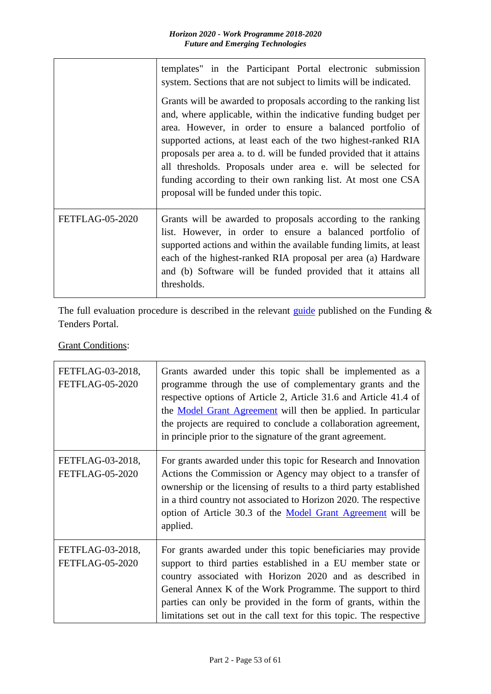|                        | templates" in the Participant Portal electronic submission<br>system. Sections that are not subject to limits will be indicated.<br>Grants will be awarded to proposals according to the ranking list<br>and, where applicable, within the indicative funding budget per<br>area. However, in order to ensure a balanced portfolio of<br>supported actions, at least each of the two highest-ranked RIA<br>proposals per area a. to d. will be funded provided that it attains<br>all thresholds. Proposals under area e. will be selected for<br>funding according to their own ranking list. At most one CSA<br>proposal will be funded under this topic. |  |  |  |  |  |
|------------------------|-------------------------------------------------------------------------------------------------------------------------------------------------------------------------------------------------------------------------------------------------------------------------------------------------------------------------------------------------------------------------------------------------------------------------------------------------------------------------------------------------------------------------------------------------------------------------------------------------------------------------------------------------------------|--|--|--|--|--|
|                        |                                                                                                                                                                                                                                                                                                                                                                                                                                                                                                                                                                                                                                                             |  |  |  |  |  |
| <b>FETFLAG-05-2020</b> | Grants will be awarded to proposals according to the ranking<br>list. However, in order to ensure a balanced portfolio of<br>supported actions and within the available funding limits, at least<br>each of the highest-ranked RIA proposal per area (a) Hardware<br>and (b) Software will be funded provided that it attains all<br>thresholds.                                                                                                                                                                                                                                                                                                            |  |  |  |  |  |

The full evaluation procedure is described in the relevant [guide](http://ec.europa.eu/research/participants/docs/h2020-funding-guide/grants/applying-for-funding/submit-proposals_en.htm) published on the Funding  $\&$ Tenders Portal.

**Grant Conditions:** 

| FETFLAG-03-2018,<br><b>FETFLAG-05-2020</b> | Grants awarded under this topic shall be implemented as a<br>programme through the use of complementary grants and the<br>respective options of Article 2, Article 31.6 and Article 41.4 of<br>the <b>Model Grant Agreement</b> will then be applied. In particular<br>the projects are required to conclude a collaboration agreement,<br>in principle prior to the signature of the grant agreement. |
|--------------------------------------------|--------------------------------------------------------------------------------------------------------------------------------------------------------------------------------------------------------------------------------------------------------------------------------------------------------------------------------------------------------------------------------------------------------|
| FETFLAG-03-2018,<br><b>FETFLAG-05-2020</b> | For grants awarded under this topic for Research and Innovation<br>Actions the Commission or Agency may object to a transfer of<br>ownership or the licensing of results to a third party established<br>in a third country not associated to Horizon 2020. The respective<br>option of Article 30.3 of the Model Grant Agreement will be<br>applied.                                                  |
| FETFLAG-03-2018,<br><b>FETFLAG-05-2020</b> | For grants awarded under this topic beneficiaries may provide<br>support to third parties established in a EU member state or<br>country associated with Horizon 2020 and as described in<br>General Annex K of the Work Programme. The support to third<br>parties can only be provided in the form of grants, within the<br>limitations set out in the call text for this topic. The respective      |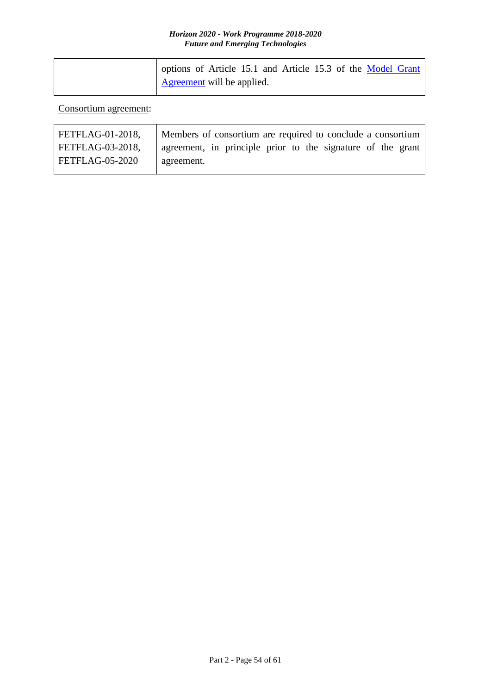| options of Article 15.1 and Article 15.3 of the Model Grant |
|-------------------------------------------------------------|
| <b>Agreement</b> will be applied.                           |

Consortium agreement:

| FETFLAG-01-2018, | Members of consortium are required to conclude a consortium |
|------------------|-------------------------------------------------------------|
| FETFLAG-03-2018, | agreement, in principle prior to the signature of the grant |
| FETFLAG-05-2020  | agreement.                                                  |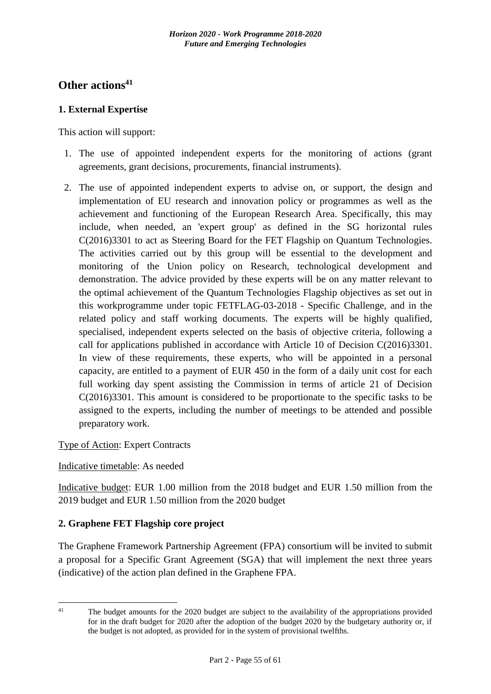# <span id="page-54-0"></span>**Other actions<sup>41</sup>**

### <span id="page-54-1"></span>**1. External Expertise**

This action will support:

- 1. The use of appointed independent experts for the monitoring of actions (grant agreements, grant decisions, procurements, financial instruments).
- 2. The use of appointed independent experts to advise on, or support, the design and implementation of EU research and innovation policy or programmes as well as the achievement and functioning of the European Research Area. Specifically, this may include, when needed, an 'expert group' as defined in the SG horizontal rules C(2016)3301 to act as Steering Board for the FET Flagship on Quantum Technologies. The activities carried out by this group will be essential to the development and monitoring of the Union policy on Research, technological development and demonstration. The advice provided by these experts will be on any matter relevant to the optimal achievement of the Quantum Technologies Flagship objectives as set out in this workprogramme under topic FETFLAG-03-2018 - Specific Challenge, and in the related policy and staff working documents. The experts will be highly qualified, specialised, independent experts selected on the basis of objective criteria, following a call for applications published in accordance with Article 10 of Decision C(2016)3301. In view of these requirements, these experts, who will be appointed in a personal capacity, are entitled to a payment of EUR 450 in the form of a daily unit cost for each full working day spent assisting the Commission in terms of article 21 of Decision C(2016)3301. This amount is considered to be proportionate to the specific tasks to be assigned to the experts, including the number of meetings to be attended and possible preparatory work.

### Type of Action: Expert Contracts

#### Indicative timetable: As needed

Indicative budget: EUR 1.00 million from the 2018 budget and EUR 1.50 million from the 2019 budget and EUR 1.50 million from the 2020 budget

### <span id="page-54-2"></span>**2. Graphene FET Flagship core project**

The Graphene Framework Partnership Agreement (FPA) consortium will be invited to submit a proposal for a Specific Grant Agreement (SGA) that will implement the next three years (indicative) of the action plan defined in the Graphene FPA.

 $\overline{41}$ 

The budget amounts for the 2020 budget are subject to the availability of the appropriations provided for in the draft budget for 2020 after the adoption of the budget 2020 by the budgetary authority or, if the budget is not adopted, as provided for in the system of provisional twelfths.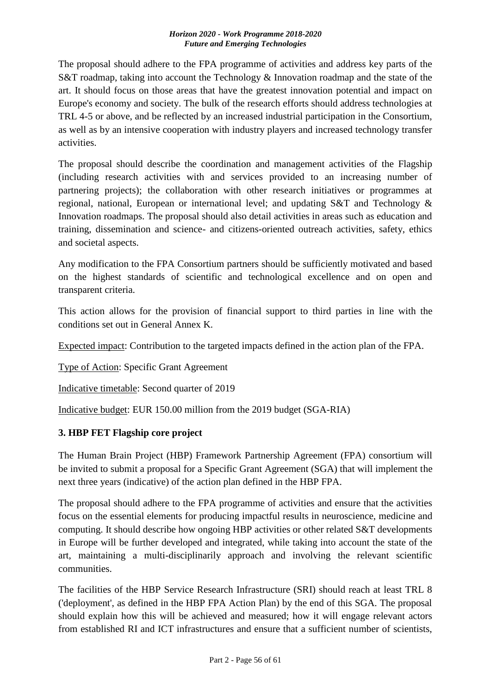The proposal should adhere to the FPA programme of activities and address key parts of the S&T roadmap, taking into account the Technology & Innovation roadmap and the state of the art. It should focus on those areas that have the greatest innovation potential and impact on Europe's economy and society. The bulk of the research efforts should address technologies at TRL 4-5 or above, and be reflected by an increased industrial participation in the Consortium, as well as by an intensive cooperation with industry players and increased technology transfer activities.

The proposal should describe the coordination and management activities of the Flagship (including research activities with and services provided to an increasing number of partnering projects); the collaboration with other research initiatives or programmes at regional, national, European or international level; and updating S&T and Technology & Innovation roadmaps. The proposal should also detail activities in areas such as education and training, dissemination and science- and citizens-oriented outreach activities, safety, ethics and societal aspects.

Any modification to the FPA Consortium partners should be sufficiently motivated and based on the highest standards of scientific and technological excellence and on open and transparent criteria.

This action allows for the provision of financial support to third parties in line with the conditions set out in General Annex K.

Expected impact: Contribution to the targeted impacts defined in the action plan of the FPA.

Type of Action: Specific Grant Agreement

Indicative timetable: Second quarter of 2019

Indicative budget: EUR 150.00 million from the 2019 budget (SGA-RIA)

# <span id="page-55-0"></span>**3. HBP FET Flagship core project**

The Human Brain Project (HBP) Framework Partnership Agreement (FPA) consortium will be invited to submit a proposal for a Specific Grant Agreement (SGA) that will implement the next three years (indicative) of the action plan defined in the HBP FPA.

The proposal should adhere to the FPA programme of activities and ensure that the activities focus on the essential elements for producing impactful results in neuroscience, medicine and computing. It should describe how ongoing HBP activities or other related S&T developments in Europe will be further developed and integrated, while taking into account the state of the art, maintaining a multi-disciplinarily approach and involving the relevant scientific communities.

The facilities of the HBP Service Research Infrastructure (SRI) should reach at least TRL 8 ('deployment', as defined in the HBP FPA Action Plan) by the end of this SGA. The proposal should explain how this will be achieved and measured; how it will engage relevant actors from established RI and ICT infrastructures and ensure that a sufficient number of scientists,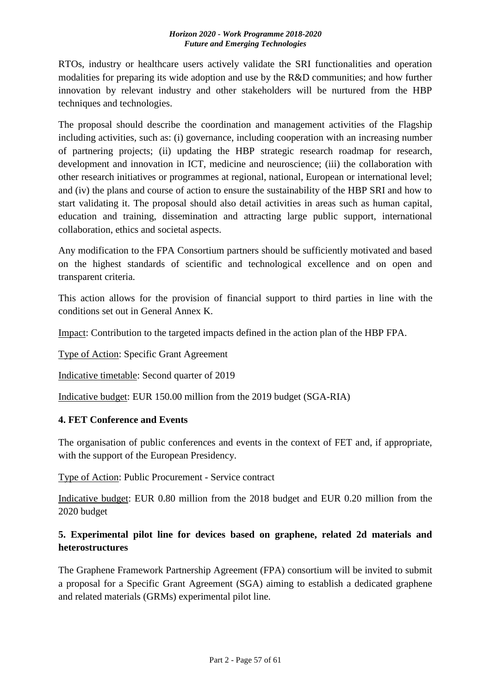RTOs, industry or healthcare users actively validate the SRI functionalities and operation modalities for preparing its wide adoption and use by the R&D communities; and how further innovation by relevant industry and other stakeholders will be nurtured from the HBP techniques and technologies.

The proposal should describe the coordination and management activities of the Flagship including activities, such as: (i) governance, including cooperation with an increasing number of partnering projects; (ii) updating the HBP strategic research roadmap for research, development and innovation in ICT, medicine and neuroscience; (iii) the collaboration with other research initiatives or programmes at regional, national, European or international level; and (iv) the plans and course of action to ensure the sustainability of the HBP SRI and how to start validating it. The proposal should also detail activities in areas such as human capital, education and training, dissemination and attracting large public support, international collaboration, ethics and societal aspects.

Any modification to the FPA Consortium partners should be sufficiently motivated and based on the highest standards of scientific and technological excellence and on open and transparent criteria.

This action allows for the provision of financial support to third parties in line with the conditions set out in General Annex K.

Impact: Contribution to the targeted impacts defined in the action plan of the HBP FPA.

Type of Action: Specific Grant Agreement

Indicative timetable: Second quarter of 2019

Indicative budget: EUR 150.00 million from the 2019 budget (SGA-RIA)

### <span id="page-56-0"></span>**4. FET Conference and Events**

The organisation of public conferences and events in the context of FET and, if appropriate, with the support of the European Presidency.

Type of Action: Public Procurement - Service contract

Indicative budget: EUR 0.80 million from the 2018 budget and EUR 0.20 million from the 2020 budget

# <span id="page-56-1"></span>**5. Experimental pilot line for devices based on graphene, related 2d materials and heterostructures**

The Graphene Framework Partnership Agreement (FPA) consortium will be invited to submit a proposal for a Specific Grant Agreement (SGA) aiming to establish a dedicated graphene and related materials (GRMs) experimental pilot line.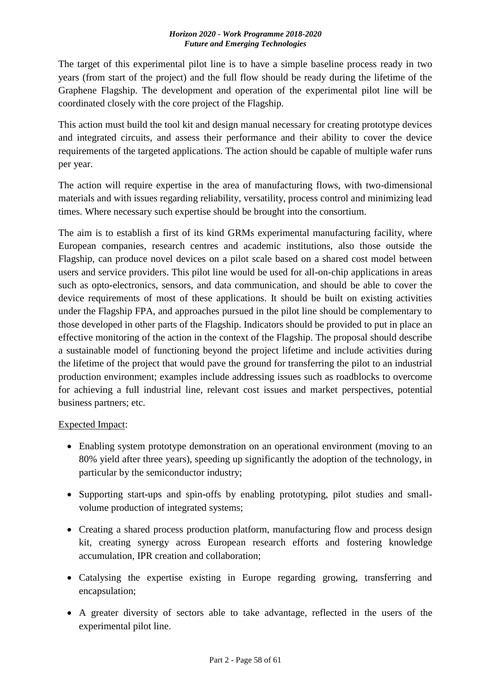The target of this experimental pilot line is to have a simple baseline process ready in two years (from start of the project) and the full flow should be ready during the lifetime of the Graphene Flagship. The development and operation of the experimental pilot line will be coordinated closely with the core project of the Flagship.

This action must build the tool kit and design manual necessary for creating prototype devices and integrated circuits, and assess their performance and their ability to cover the device requirements of the targeted applications. The action should be capable of multiple wafer runs per year.

The action will require expertise in the area of manufacturing flows, with two-dimensional materials and with issues regarding reliability, versatility, process control and minimizing lead times. Where necessary such expertise should be brought into the consortium.

The aim is to establish a first of its kind GRMs experimental manufacturing facility, where European companies, research centres and academic institutions, also those outside the Flagship, can produce novel devices on a pilot scale based on a shared cost model between users and service providers. This pilot line would be used for all-on-chip applications in areas such as opto-electronics, sensors, and data communication, and should be able to cover the device requirements of most of these applications. It should be built on existing activities under the Flagship FPA, and approaches pursued in the pilot line should be complementary to those developed in other parts of the Flagship. Indicators should be provided to put in place an effective monitoring of the action in the context of the Flagship. The proposal should describe a sustainable model of functioning beyond the project lifetime and include activities during the lifetime of the project that would pave the ground for transferring the pilot to an industrial production environment; examples include addressing issues such as roadblocks to overcome for achieving a full industrial line, relevant cost issues and market perspectives, potential business partners; etc.

### Expected Impact:

- Enabling system prototype demonstration on an operational environment (moving to an 80% yield after three years), speeding up significantly the adoption of the technology, in particular by the semiconductor industry;
- Supporting start-ups and spin-offs by enabling prototyping, pilot studies and smallvolume production of integrated systems;
- Creating a shared process production platform, manufacturing flow and process design kit, creating synergy across European research efforts and fostering knowledge accumulation, IPR creation and collaboration;
- Catalysing the expertise existing in Europe regarding growing, transferring and encapsulation;
- A greater diversity of sectors able to take advantage, reflected in the users of the experimental pilot line.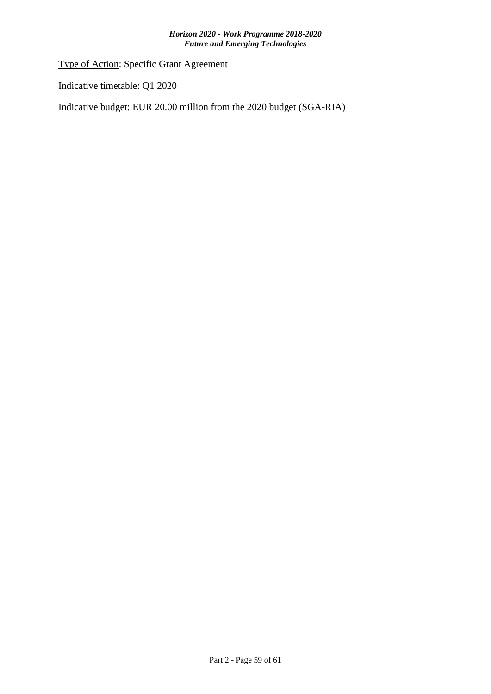Type of Action: Specific Grant Agreement

Indicative timetable: Q1 2020

Indicative budget: EUR 20.00 million from the 2020 budget (SGA-RIA)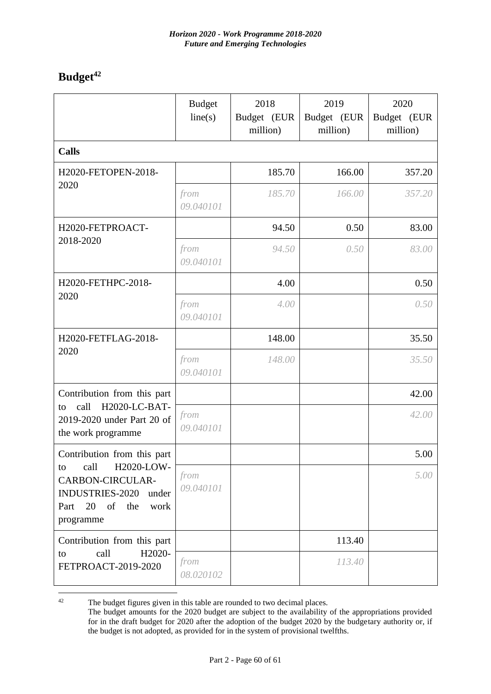# <span id="page-59-0"></span>**Budget<sup>42</sup>**

|                                                                                                                               | <b>Budget</b><br>line(s) | 2018<br>Budget (EUR<br>million) | 2019<br>Budget (EUR<br>million) | 2020<br>Budget (EUR<br>million) |
|-------------------------------------------------------------------------------------------------------------------------------|--------------------------|---------------------------------|---------------------------------|---------------------------------|
| <b>Calls</b>                                                                                                                  |                          |                                 |                                 |                                 |
| H2020-FETOPEN-2018-                                                                                                           |                          | 185.70                          | 166.00                          | 357.20                          |
| 2020                                                                                                                          | from<br>09.040101        | 185.70                          | 166.00                          | 357.20                          |
| H2020-FETPROACT-                                                                                                              |                          | 94.50                           | 0.50                            | 83.00                           |
| 2018-2020                                                                                                                     | from<br>09.040101        | 94.50                           | 0.50                            | 83.00                           |
| H2020-FETHPC-2018-                                                                                                            |                          | 4.00                            |                                 | 0.50                            |
| 2020                                                                                                                          | from<br>09.040101        | 4.00                            |                                 | 0.50                            |
| H2020-FETFLAG-2018-                                                                                                           |                          | 148.00                          |                                 | 35.50                           |
| 2020                                                                                                                          | from<br>09.040101        | 148.00                          |                                 | 35.50                           |
| Contribution from this part                                                                                                   |                          |                                 |                                 | 42.00                           |
| H2020-LC-BAT-<br>call<br>to<br>2019-2020 under Part 20 of<br>the work programme                                               | from<br>09.040101        |                                 |                                 | 42.00                           |
| Contribution from this part                                                                                                   |                          |                                 |                                 | 5.00                            |
| call<br>H2020-LOW-<br>to<br><b>CARBON-CIRCULAR-</b><br><b>INDUSTRIES-2020</b><br>under<br>Part 20 of the<br>work<br>programme | from<br>09.040101        |                                 |                                 | 5.00                            |
| Contribution from this part                                                                                                   |                          |                                 | 113.40                          |                                 |
| H2020-<br>call<br>to<br>FETPROACT-2019-2020                                                                                   | from<br>08.020102        |                                 | 113.40                          |                                 |

 $42$ The budget figures given in this table are rounded to two decimal places.

The budget amounts for the 2020 budget are subject to the availability of the appropriations provided for in the draft budget for 2020 after the adoption of the budget 2020 by the budgetary authority or, if the budget is not adopted, as provided for in the system of provisional twelfths.